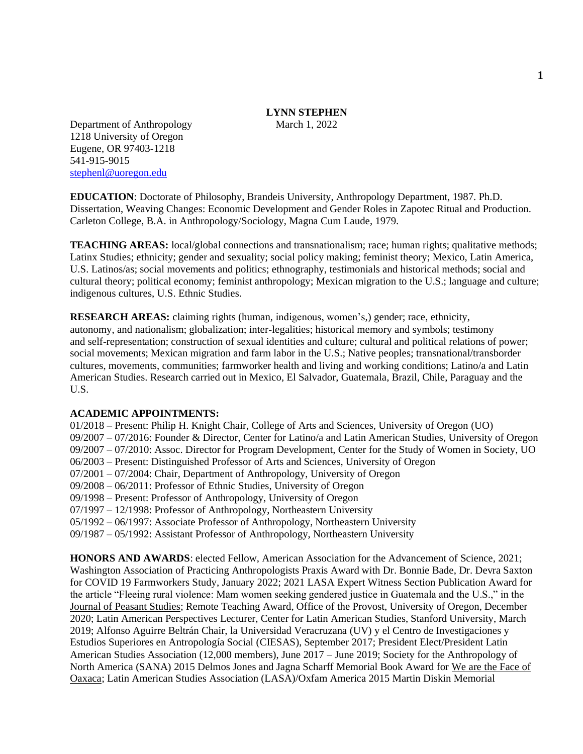# **LYNN STEPHEN**

Department of Anthropology March 1, 2022 1218 University of Oregon Eugene, OR 97403-1218 541-915-9015 [stephenl@uoregon.edu](mailto:stephenl@uoregon.edu)

**EDUCATION**: Doctorate of Philosophy, Brandeis University, Anthropology Department, 1987. Ph.D. Dissertation, Weaving Changes: Economic Development and Gender Roles in Zapotec Ritual and Production. Carleton College, B.A. in Anthropology/Sociology, Magna Cum Laude, 1979.

**TEACHING AREAS:** local/global connections and transnationalism; race; human rights; qualitative methods; Latinx Studies; ethnicity; gender and sexuality; social policy making; feminist theory; Mexico, Latin America, U.S. Latinos/as; social movements and politics; ethnography, testimonials and historical methods; social and cultural theory; political economy; feminist anthropology; Mexican migration to the U.S.; language and culture; indigenous cultures, U.S. Ethnic Studies.

**RESEARCH AREAS:** claiming rights (human, indigenous, women's,) gender; race, ethnicity, autonomy, and nationalism; globalization; inter-legalities; historical memory and symbols; testimony and self-representation; construction of sexual identities and culture; cultural and political relations of power; social movements; Mexican migration and farm labor in the U.S.; Native peoples; transnational/transborder cultures, movements, communities; farmworker health and living and working conditions; Latino/a and Latin American Studies. Research carried out in Mexico, El Salvador, Guatemala, Brazil, Chile, Paraguay and the U.S.

## **ACADEMIC APPOINTMENTS:**

01/2018 – Present: Philip H. Knight Chair, College of Arts and Sciences, University of Oregon (UO) 09/2007 – 07/2016: Founder & Director, Center for Latino/a and Latin American Studies, University of Oregon 09/2007 – 07/2010: Assoc. Director for Program Development, Center for the Study of Women in Society, UO 06/2003 – Present: Distinguished Professor of Arts and Sciences, University of Oregon 07/2001 – 07/2004: Chair, Department of Anthropology, University of Oregon 09/2008 – 06/2011: Professor of Ethnic Studies, University of Oregon 09/1998 – Present: Professor of Anthropology, University of Oregon 07/1997 – 12/1998: Professor of Anthropology, Northeastern University 05/1992 – 06/1997: Associate Professor of Anthropology, Northeastern University 09/1987 – 05/1992: Assistant Professor of Anthropology, Northeastern University

**HONORS AND AWARDS**: elected Fellow, American Association for the Advancement of Science, 2021; Washington Association of Practicing Anthropologists Praxis Award with Dr. Bonnie Bade, Dr. Devra Saxton for COVID 19 Farmworkers Study, January 2022; 2021 LASA Expert Witness Section Publication Award for the article "Fleeing rural violence: Mam women seeking gendered justice in Guatemala and the U.S.," in the Journal of Peasant Studies; Remote Teaching Award, Office of the Provost, University of Oregon, December 2020; Latin American Perspectives Lecturer, Center for Latin American Studies, Stanford University, March 2019; Alfonso Aguirre Beltrán Chair, la Universidad Veracruzana (UV) y el Centro de Investigaciones y Estudios Superiores en Antropología Social (CIESAS), September 2017; President Elect/President Latin American Studies Association (12,000 members), June 2017 – June 2019; Society for the Anthropology of North America (SANA) 2015 Delmos Jones and Jagna Scharff Memorial Book Award for We are the Face of Oaxaca; Latin American Studies Association (LASA)/Oxfam America 2015 Martin Diskin Memorial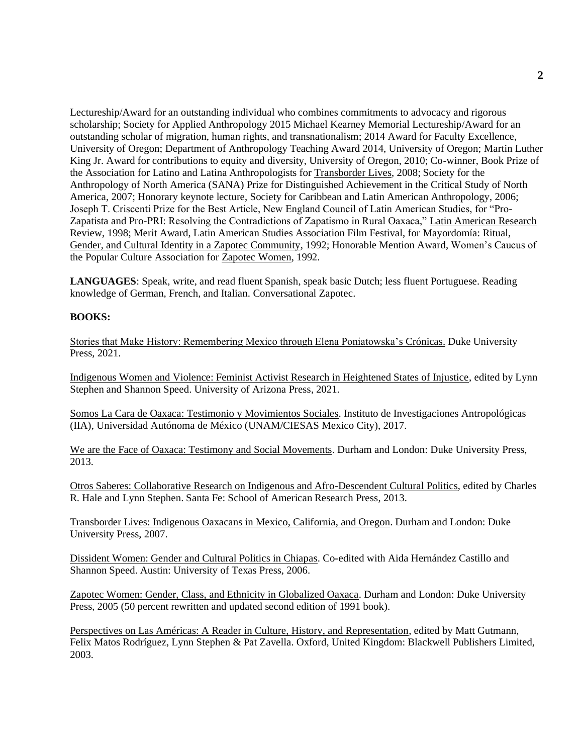Lectureship/Award for an outstanding individual who combines commitments to advocacy and rigorous scholarship; Society for Applied Anthropology 2015 Michael Kearney Memorial Lectureship/Award for an outstanding scholar of migration, human rights, and transnationalism; 2014 Award for Faculty Excellence, University of Oregon; Department of Anthropology Teaching Award 2014, University of Oregon; Martin Luther King Jr. Award for contributions to equity and diversity, University of Oregon, 2010; Co-winner, Book Prize of the Association for Latino and Latina Anthropologists for Transborder Lives, 2008; Society for the Anthropology of North America (SANA) Prize for Distinguished Achievement in the Critical Study of North America, 2007; Honorary keynote lecture, Society for Caribbean and Latin American Anthropology, 2006; Joseph T. Criscenti Prize for the Best Article, New England Council of Latin American Studies, for "Pro-Zapatista and Pro-PRI: Resolving the Contradictions of Zapatismo in Rural Oaxaca," Latin American Research Review, 1998; Merit Award, Latin American Studies Association Film Festival, for Mayordomía: Ritual, Gender, and Cultural Identity in a Zapotec Community, 1992; Honorable Mention Award, Women's Caucus of the Popular Culture Association for Zapotec Women, 1992.

**LANGUAGES**: Speak, write, and read fluent Spanish, speak basic Dutch; less fluent Portuguese. Reading knowledge of German, French, and Italian. Conversational Zapotec.

## **BOOKS:**

Stories that Make History: Remembering Mexico through Elena Poniatowska's Crónicas. Duke University Press, 2021.

Indigenous Women and Violence: Feminist Activist Research in Heightened States of Injustice, edited by Lynn Stephen and Shannon Speed. University of Arizona Press, 2021.

Somos La Cara de Oaxaca: Testimonio y Movimientos Sociales. Instituto de Investigaciones Antropológicas (IIA), Universidad Autónoma de México (UNAM/CIESAS Mexico City), 2017.

We are the Face of Oaxaca: Testimony and Social Movements. Durham and London: Duke University Press, 2013.

Otros Saberes: Collaborative Research on Indigenous and Afro-Descendent Cultural Politics, edited by Charles R. Hale and Lynn Stephen. Santa Fe: School of American Research Press, 2013.

Transborder Lives: Indigenous Oaxacans in Mexico, California, and Oregon. Durham and London: Duke University Press, 2007.

Dissident Women: Gender and Cultural Politics in Chiapas. Co-edited with Aida Hernández Castillo and Shannon Speed. Austin: University of Texas Press, 2006.

Zapotec Women: Gender, Class, and Ethnicity in Globalized Oaxaca. Durham and London: Duke University Press, 2005 (50 percent rewritten and updated second edition of 1991 book).

Perspectives on Las Américas: A Reader in Culture, History, and Representation, edited by Matt Gutmann, Felix Matos Rodríguez, Lynn Stephen & Pat Zavella. Oxford, United Kingdom: Blackwell Publishers Limited, 2003.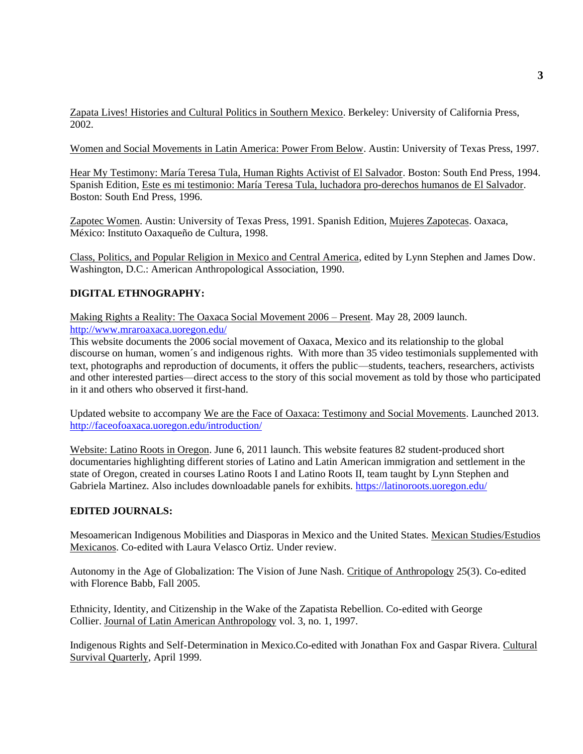Zapata Lives! Histories and Cultural Politics in Southern Mexico. Berkeley: University of California Press, 2002.

Women and Social Movements in Latin America: Power From Below. Austin: University of Texas Press, 1997.

Hear My Testimony: María Teresa Tula, Human Rights Activist of El Salvador. Boston: South End Press, 1994. Spanish Edition, Este es mi testimonio: María Teresa Tula, luchadora pro-derechos humanos de El Salvador. Boston: South End Press, 1996.

Zapotec Women. Austin: University of Texas Press, 1991. Spanish Edition, Mujeres Zapotecas. Oaxaca, México: Instituto Oaxaqueño de Cultura, 1998.

Class, Politics, and Popular Religion in Mexico and Central America, edited by Lynn Stephen and James Dow. Washington, D.C.: American Anthropological Association, 1990.

# **DIGITAL ETHNOGRAPHY:**

Making Rights a Reality: The Oaxaca Social Movement 2006 – Present. May 28, 2009 launch. <http://www.mraroaxaca.uoregon.edu/>

This website documents the 2006 social movement of Oaxaca, Mexico and its relationship to the global discourse on human, women´s and indigenous rights. With more than 35 video testimonials supplemented with text, photographs and reproduction of documents, it offers the public—students, teachers, researchers, activists and other interested parties—direct access to the story of this social movement as told by those who participated in it and others who observed it first-hand.

Updated website to accompany We are the Face of Oaxaca: Testimony and Social Movements. Launched 2013. <http://faceofoaxaca.uoregon.edu/introduction/>

Website: Latino Roots in Oregon. June 6, 2011 launch. This website features 82 student-produced short documentaries highlighting different stories of Latino and Latin American immigration and settlement in the state of Oregon, created in courses Latino Roots I and Latino Roots II, team taught by Lynn Stephen and Gabriela Martinez. Also includes downloadable panels for exhibits.<https://latinoroots.uoregon.edu/>

#### **EDITED JOURNALS:**

Mesoamerican Indigenous Mobilities and Diasporas in Mexico and the United States. Mexican Studies/Estudios Mexicanos. Co-edited with Laura Velasco Ortiz. Under review.

Autonomy in the Age of Globalization: The Vision of June Nash. Critique of Anthropology 25(3). Co-edited with Florence Babb, Fall 2005.

Ethnicity, Identity, and Citizenship in the Wake of the Zapatista Rebellion. Co-edited with George Collier. Journal of Latin American Anthropology vol. 3, no. 1, 1997.

Indigenous Rights and Self-Determination in Mexico.Co-edited with Jonathan Fox and Gaspar Rivera. Cultural Survival Quarterly, April 1999.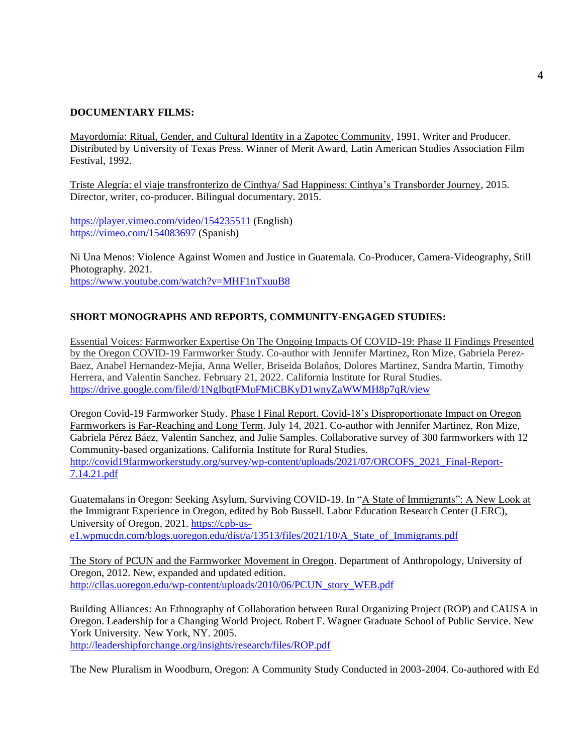# **DOCUMENTARY FILMS:**

Mayordomía: Ritual, Gender, and Cultural Identity in a Zapotec Community, 1991. Writer and Producer. Distributed by University of Texas Press. Winner of Merit Award, Latin American Studies Association Film Festival, 1992.

Triste Alegría: el viaje transfronterizo de Cinthya/ Sad Happiness: Cinthya's Transborder Journey, 2015. Director, writer, co-producer. Bilingual documentary. 2015.

<https://player.vimeo.com/video/154235511> (English) <https://vimeo.com/154083697> (Spanish)

Ni Una Menos: Violence Against Women and Justice in Guatemala. Co-Producer, Camera-Videography, Still Photography. 2021. <https://www.youtube.com/watch?v=MHF1nTxuuB8>

# **SHORT MONOGRAPHS AND REPORTS, COMMUNITY-ENGAGED STUDIES:**

Essential Voices: Farmworker Expertise On The Ongoing Impacts Of COVID-19: Phase II Findings Presented by the Oregon COVID-19 Farmworker Study. Co-author with Jennifer Martinez, Ron Mize, Gabriela Perez-Baez, Anabel Hernandez-Mejia, Anna Weller, Briseida Bolaños, Dolores Martinez, Sandra Martin, Timothy Herrera, and Valentin Sanchez. February 21, 2022. California Institute for Rural Studies. <https://drive.google.com/file/d/1NgIbqtFMuFMiCBKyD1wnyZaWWMH8p7qR/view>

Oregon Covid-19 Farmworker Study. Phase I Final Report. Covid-18's Disproportionate Impact on Oregon Farmworkers is Far-Reaching and Long Term. July 14, 2021. Co-author with Jennifer Martinez, Ron Mize, Gabriela Pérez Báez, Valentin Sanchez, and Julie Samples. Collaborative survey of 300 farmworkers with 12 Community-based organizations. California Institute for Rural Studies. [http://covid19farmworkerstudy.org/survey/wp-content/uploads/2021/07/ORCOFS\\_2021\\_Final-Report-](http://covid19farmworkerstudy.org/survey/wp-content/uploads/2021/07/ORCOFS_2021_Final-Report-7.14.21.pdf)[7.14.21.pdf](http://covid19farmworkerstudy.org/survey/wp-content/uploads/2021/07/ORCOFS_2021_Final-Report-7.14.21.pdf)

Guatemalans in Oregon: Seeking Asylum, Surviving COVID-19. In "A State of Immigrants": A New Look at the Immigrant Experience in Oregon, edited by Bob Bussell. Labor Education Research Center (LERC), University of Oregon, 2021[. https://cpb-us](https://cpb-us-e1.wpmucdn.com/blogs.uoregon.edu/dist/a/13513/files/2021/10/A_State_of_Immigrants.pdf)[e1.wpmucdn.com/blogs.uoregon.edu/dist/a/13513/files/2021/10/A\\_State\\_of\\_Immigrants.pdf](https://cpb-us-e1.wpmucdn.com/blogs.uoregon.edu/dist/a/13513/files/2021/10/A_State_of_Immigrants.pdf)

The Story of PCUN and the Farmworker Movement in Oregon. Department of Anthropology, University of Oregon, 2012. New, expanded and updated edition. [http://cllas.uoregon.edu/wp-content/uploads/2010/06/PCUN\\_story\\_WEB.pdf](http://cllas.uoregon.edu/wp-content/uploads/2010/06/PCUN_story_WEB.pdf)

Building Alliances: An Ethnography of Collaboration between Rural Organizing Project (ROP) and CAUSA in Oregon. Leadership for a Changing World Project. Robert F. Wagner Graduate School of Public Service. New York University. New York, NY. 2005. <http://leadershipforchange.org/insights/research/files/ROP.pdf>

The New Pluralism in Woodburn, Oregon: A Community Study Conducted in 2003-2004. Co-authored with Ed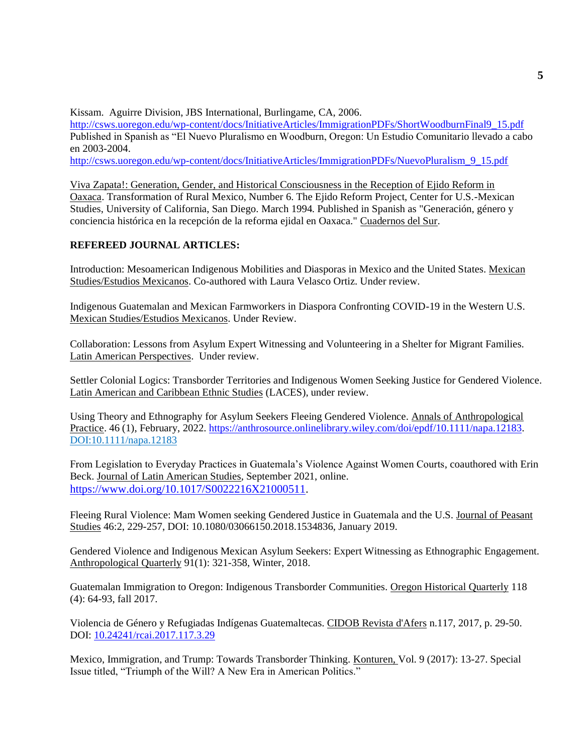Kissam. Aguirre Division, JBS International, Burlingame, CA, 2006.

[http://csws.uoregon.edu/wp-content/docs/InitiativeArticles/ImmigrationPDFs/ShortWoodburnFinal9\\_15.pdf](http://csws.uoregon.edu/wp-content/docs/InitiativeArticles/ImmigrationPDFs/ShortWoodburnFinal9_15.pdf) Published in Spanish as "El Nuevo Pluralismo en Woodburn, Oregon: Un Estudio Comunitario llevado a cabo en 2003-2004.

[http://csws.uoregon.edu/wp-content/docs/InitiativeArticles/ImmigrationPDFs/NuevoPluralism\\_9\\_15.pdf](http://csws.uoregon.edu/wp-content/docs/InitiativeArticles/ImmigrationPDFs/NuevoPluralism_9_15.pdf)

Viva Zapata!: Generation, Gender, and Historical Consciousness in the Reception of Ejido Reform in Oaxaca. Transformation of Rural Mexico, Number 6. The Ejido Reform Project, Center for U.S.-Mexican Studies, University of California, San Diego. March 1994. Published in Spanish as "Generación, género y conciencia histórica en la recepción de la reforma ejidal en Oaxaca." Cuadernos del Sur.

# **REFEREED JOURNAL ARTICLES:**

Introduction: Mesoamerican Indigenous Mobilities and Diasporas in Mexico and the United States. Mexican Studies/Estudios Mexicanos. Co-authored with Laura Velasco Ortiz. Under review.

Indigenous Guatemalan and Mexican Farmworkers in Diaspora Confronting COVID-19 in the Western U.S. Mexican Studies/Estudios Mexicanos. Under Review.

Collaboration: Lessons from Asylum Expert Witnessing and Volunteering in a Shelter for Migrant Families. Latin American Perspectives. Under review.

Settler Colonial Logics: Transborder Territories and Indigenous Women Seeking Justice for Gendered Violence. Latin American and Caribbean Ethnic Studies (LACES), under review.

Using Theory and Ethnography for Asylum Seekers Fleeing Gendered Violence. Annals of Anthropological Practice. 46 (1), February, 2022. [https://anthrosource.onlinelibrary.wiley.com/doi/epdf/10.1111/napa.12183.](https://anthrosource.onlinelibrary.wiley.com/doi/epdf/10.1111/napa.12183) DOI:10.1111/napa.12183

From Legislation to Everyday Practices in Guatemala's Violence Against Women Courts, coauthored with Erin Beck. Journal of Latin American Studies, September 2021, online. [https://www.doi.org/10.1017/S0022216X21000511.](https://urldefense.com/v3/__https:/www.doi.org/10.1017/S0022216X21000511__;!!C5qS4YX3!Ruj0ustNWQ_NR-VNdMg24mEtlzBrxiuru7ETIZbnDQZS8G_xMHB9XMtfaYuCck4$)

Fleeing Rural Violence: Mam Women seeking Gendered Justice in Guatemala and the U.S. Journal of Peasant Studies 46:2, 229-257, DOI: 10.1080/03066150.2018.1534836, January 2019.

Gendered Violence and Indigenous Mexican Asylum Seekers: Expert Witnessing as Ethnographic Engagement. Anthropological Quarterly 91(1): 321-358, Winter, 2018.

Guatemalan Immigration to Oregon: Indigenous Transborder Communities. Oregon Historical Quarterly 118 (4): 64-93, fall 2017.

Violencia de Género y Refugiadas Indígenas Guatemaltecas. CIDOB Revista d'Afers n.117, 2017, p. 29-50. DOI: [10.24241/rcai.2017.117.3.29](https://www.raco.cat/index.php/RevistaCIDOB/article/view/10.24241-rcai.2017.117.3.29)

Mexico, Immigration, and Trump: Towards Transborder Thinking. Konturen, Vol. 9 (2017): 13-27. Special Issue titled, "Triumph of the Will? A New Era in American Politics."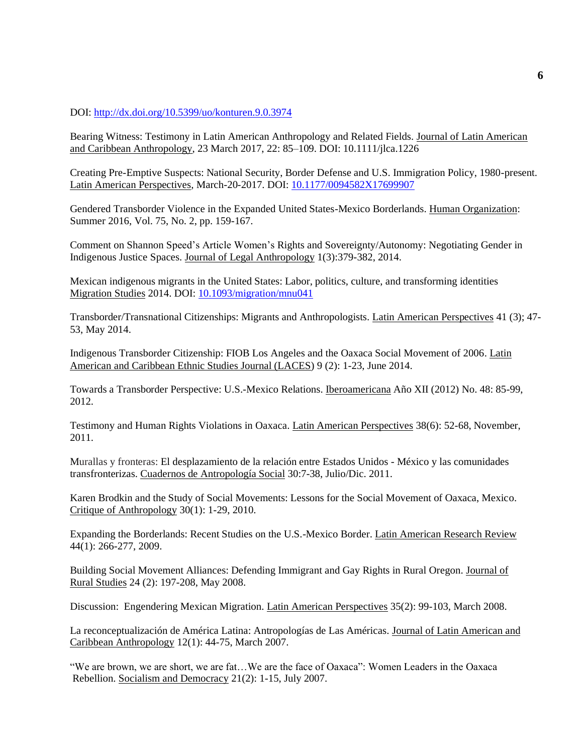#### DOI:<http://dx.doi.org/10.5399/uo/konturen.9.0.3974>

Bearing Witness: Testimony in Latin American Anthropology and Related Fields. Journal of Latin American and Caribbean Anthropology, 23 March 2017, 22: 85–109. DOI: 10.1111/jlca.1226

Creating Pre-Emptive Suspects: National Security, Border Defense and U.S. Immigration Policy, 1980-present. Latin American Perspectives*,* March-20-2017. DOI: [10.1177/0094582X17699907](http://dx.doi.org/10.1177%2F0094582X17699907)

Gendered Transborder Violence in the Expanded United States-Mexico Borderlands. Human Organization: Summer 2016, Vol. 75, No. 2, pp. 159-167.

Comment on Shannon Speed's Article Women's Rights and Sovereignty/Autonomy: Negotiating Gender in Indigenous Justice Spaces. Journal of Legal Anthropology 1(3):379-382, 2014.

Mexican indigenous migrants in the United States: Labor, politics, culture, and transforming identities Migration Studies 2014. DOI: [10.1093/migration/mnu041](https://academic.oup.com/migration/article-abstract/3/2/281/1843812?redirectedFrom=fulltext)

Transborder/Transnational Citizenships: Migrants and Anthropologists. Latin American Perspectives 41 (3); 47- 53, May 2014.

Indigenous Transborder Citizenship: FIOB Los Angeles and the Oaxaca Social Movement of 2006. Latin American and Caribbean Ethnic Studies Journal (LACES) 9 (2): 1-23, June 2014.

Towards a Transborder Perspective: U.S.-Mexico Relations. Iberoamericana Año XII (2012) No. 48: 85-99, 2012.

Testimony and Human Rights Violations in Oaxaca. Latin American Perspectives 38(6): 52-68, November, 2011.

Murallas y fronteras: El desplazamiento de la relación entre Estados Unidos - México y las comunidades transfronterizas. Cuadernos de Antropología Social 30:7-38, Julio/Dic. 2011.

Karen Brodkin and the Study of Social Movements: Lessons for the Social Movement of Oaxaca, Mexico. Critique of Anthropology 30(1): 1-29, 2010.

Expanding the Borderlands: Recent Studies on the U.S.-Mexico Border. Latin American Research Review 44(1): 266-277, 2009.

Building Social Movement Alliances: Defending Immigrant and Gay Rights in Rural Oregon. Journal of Rural Studies 24 (2): 197-208, May 2008.

Discussion: Engendering Mexican Migration. Latin American Perspectives 35(2): 99-103, March 2008.

La reconceptualización de América Latina: Antropologías de Las Américas. Journal of Latin American and Caribbean Anthropology 12(1): 44-75, March 2007.

"We are brown, we are short, we are fat…We are the face of Oaxaca": Women Leaders in the Oaxaca Rebellion. Socialism and Democracy 21(2): 1-15, July 2007.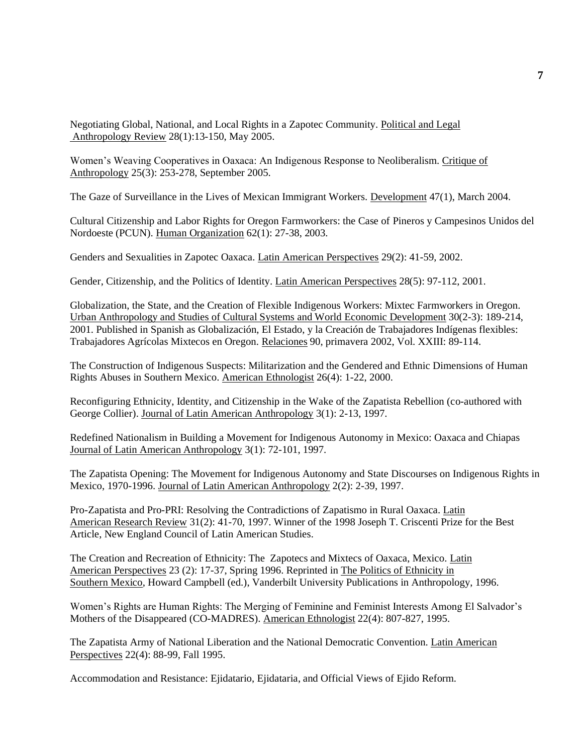Negotiating Global, National, and Local Rights in a Zapotec Community. Political and Legal Anthropology Review 28(1):13-150, May 2005.

Women's Weaving Cooperatives in Oaxaca: An Indigenous Response to Neoliberalism. Critique of Anthropology 25(3): 253-278, September 2005.

The Gaze of Surveillance in the Lives of Mexican Immigrant Workers. Development 47(1), March 2004.

Cultural Citizenship and Labor Rights for Oregon Farmworkers: the Case of Pineros y Campesinos Unidos del Nordoeste (PCUN). Human Organization 62(1): 27-38, 2003.

Genders and Sexualities in Zapotec Oaxaca. Latin American Perspectives 29(2): 41-59, 2002.

Gender, Citizenship, and the Politics of Identity. Latin American Perspectives 28(5): 97-112, 2001.

Globalization, the State, and the Creation of Flexible Indigenous Workers: Mixtec Farmworkers in Oregon. Urban Anthropology and Studies of Cultural Systems and World Economic Development 30(2-3): 189-214, 2001. Published in Spanish as Globalización, El Estado, y la Creación de Trabajadores Indígenas flexibles: Trabajadores Agrícolas Mixtecos en Oregon. Relaciones 90, primavera 2002, Vol. XXIII: 89-114.

The Construction of Indigenous Suspects: Militarization and the Gendered and Ethnic Dimensions of Human Rights Abuses in Southern Mexico. American Ethnologist 26(4): 1-22, 2000.

Reconfiguring Ethnicity, Identity, and Citizenship in the Wake of the Zapatista Rebellion (co-authored with George Collier). Journal of Latin American Anthropology 3(1): 2-13, 1997.

Redefined Nationalism in Building a Movement for Indigenous Autonomy in Mexico: Oaxaca and Chiapas Journal of Latin American Anthropology 3(1): 72-101, 1997.

The Zapatista Opening: The Movement for Indigenous Autonomy and State Discourses on Indigenous Rights in Mexico, 1970-1996. Journal of Latin American Anthropology 2(2): 2-39, 1997.

Pro-Zapatista and Pro-PRI: Resolving the Contradictions of Zapatismo in Rural Oaxaca. Latin American Research Review 31(2): 41-70, 1997. Winner of the 1998 Joseph T. Criscenti Prize for the Best Article, New England Council of Latin American Studies.

The Creation and Recreation of Ethnicity: The Zapotecs and Mixtecs of Oaxaca, Mexico. Latin American Perspectives 23 (2): 17-37, Spring 1996. Reprinted in The Politics of Ethnicity in Southern Mexico, Howard Campbell (ed.), Vanderbilt University Publications in Anthropology, 1996.

Women's Rights are Human Rights: The Merging of Feminine and Feminist Interests Among El Salvador's Mothers of the Disappeared (CO-MADRES). American Ethnologist 22(4): 807-827, 1995.

The Zapatista Army of National Liberation and the National Democratic Convention. Latin American Perspectives 22(4): 88-99, Fall 1995.

Accommodation and Resistance: Ejidatario, Ejidataria, and Official Views of Ejido Reform.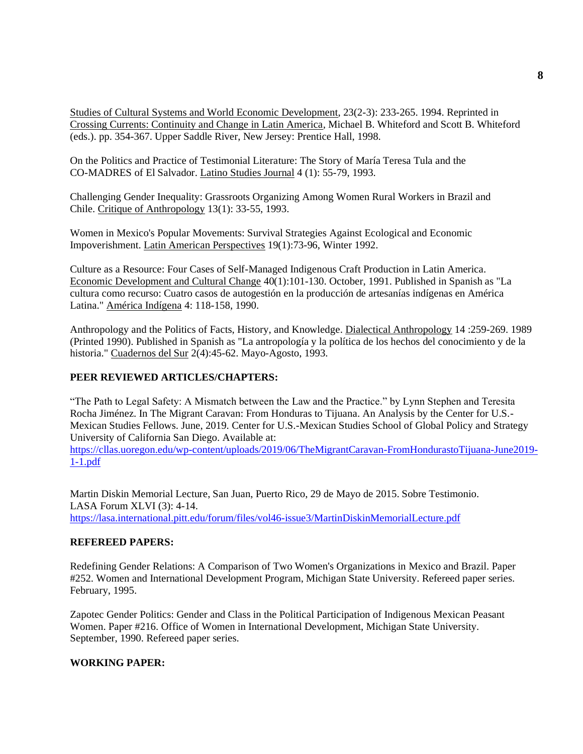Studies of Cultural Systems and World Economic Development, 23(2-3): 233-265. 1994. Reprinted in Crossing Currents: Continuity and Change in Latin America, Michael B. Whiteford and Scott B. Whiteford (eds.). pp. 354-367. Upper Saddle River, New Jersey: Prentice Hall, 1998.

On the Politics and Practice of Testimonial Literature: The Story of María Teresa Tula and the CO-MADRES of El Salvador. Latino Studies Journal 4 (1): 55-79, 1993.

Challenging Gender Inequality: Grassroots Organizing Among Women Rural Workers in Brazil and Chile. Critique of Anthropology 13(1): 33-55, 1993.

Women in Mexico's Popular Movements: Survival Strategies Against Ecological and Economic Impoverishment. Latin American Perspectives 19(1):73-96, Winter 1992.

Culture as a Resource: Four Cases of Self-Managed Indigenous Craft Production in Latin America. Economic Development and Cultural Change 40(1):101-130. October, 1991. Published in Spanish as "La cultura como recurso: Cuatro casos de autogestión en la producción de artesanías indígenas en América Latina." América Indígena 4: 118-158, 1990.

Anthropology and the Politics of Facts, History, and Knowledge. Dialectical Anthropology 14 :259-269. 1989 (Printed 1990). Published in Spanish as "La antropología y la política de los hechos del conocimiento y de la historia." Cuadernos del Sur 2(4):45-62. Mayo-Agosto, 1993.

# **PEER REVIEWED ARTICLES/CHAPTERS:**

"The Path to Legal Safety: A Mismatch between the Law and the Practice." by Lynn Stephen and Teresita Rocha Jiménez. In The Migrant Caravan: From Honduras to Tijuana. An Analysis by the Center for U.S.- Mexican Studies Fellows. June, 2019. Center for U.S.-Mexican Studies School of Global Policy and Strategy University of California San Diego. Available at:

[https://cllas.uoregon.edu/wp-content/uploads/2019/06/TheMigrantCaravan-FromHondurastoTijuana-June2019-](https://cllas.uoregon.edu/wp-content/uploads/2019/06/TheMigrantCaravan-FromHondurastoTijuana-June2019-1-1.pdf) [1-1.pdf](https://cllas.uoregon.edu/wp-content/uploads/2019/06/TheMigrantCaravan-FromHondurastoTijuana-June2019-1-1.pdf)

Martin Diskin Memorial Lecture, San Juan, Puerto Rico, 29 de Mayo de 2015. Sobre Testimonio. LASA Forum XLVI (3): 4-14. <https://lasa.international.pitt.edu/forum/files/vol46-issue3/MartinDiskinMemorialLecture.pdf>

# **REFEREED PAPERS:**

Redefining Gender Relations: A Comparison of Two Women's Organizations in Mexico and Brazil. Paper #252. Women and International Development Program, Michigan State University. Refereed paper series. February, 1995.

Zapotec Gender Politics: Gender and Class in the Political Participation of Indigenous Mexican Peasant Women. Paper #216. Office of Women in International Development, Michigan State University. September, 1990. Refereed paper series.

## **WORKING PAPER:**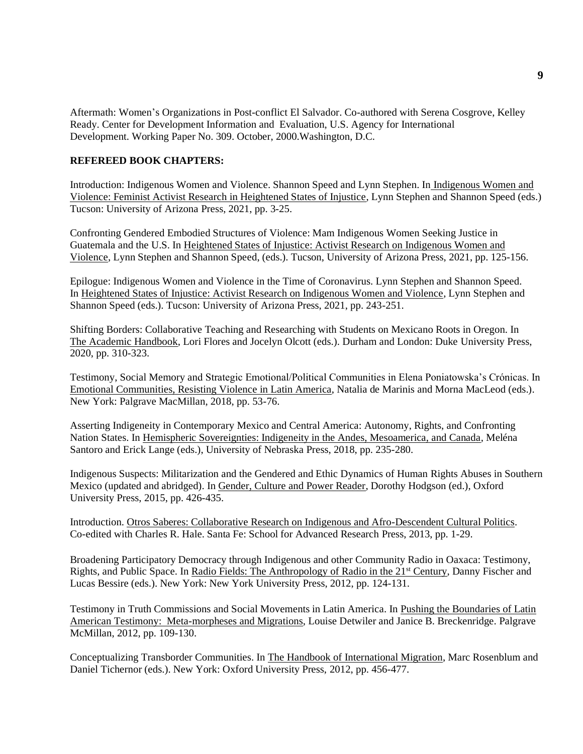Aftermath: Women's Organizations in Post-conflict El Salvador. Co-authored with Serena Cosgrove, Kelley Ready. Center for Development Information and Evaluation, U.S. Agency for International Development. Working Paper No. 309. October, 2000.Washington, D.C.

#### **REFEREED BOOK CHAPTERS:**

Introduction: Indigenous Women and Violence. Shannon Speed and Lynn Stephen. In Indigenous Women and Violence: Feminist Activist Research in Heightened States of Injustice, Lynn Stephen and Shannon Speed (eds.) Tucson: University of Arizona Press, 2021, pp. 3-25.

Confronting Gendered Embodied Structures of Violence: Mam Indigenous Women Seeking Justice in Guatemala and the U.S. In Heightened States of Injustice: Activist Research on Indigenous Women and Violence, Lynn Stephen and Shannon Speed, (eds.). Tucson, University of Arizona Press, 2021, pp. 125-156.

Epilogue: Indigenous Women and Violence in the Time of Coronavirus. Lynn Stephen and Shannon Speed. In Heightened States of Injustice: Activist Research on Indigenous Women and Violence, Lynn Stephen and Shannon Speed (eds.). Tucson: University of Arizona Press, 2021, pp. 243-251.

Shifting Borders: Collaborative Teaching and Researching with Students on Mexicano Roots in Oregon. In The Academic Handbook, Lori Flores and Jocelyn Olcott (eds.). Durham and London: Duke University Press, 2020, pp. 310-323.

Testimony, Social Memory and Strategic Emotional/Political Communities in Elena Poniatowska's Crónicas. In Emotional Communities, Resisting Violence in Latin America, Natalia de Marinis and Morna MacLeod (eds.). New York: Palgrave MacMillan, 2018, pp. 53-76.

Asserting Indigeneity in Contemporary Mexico and Central America: Autonomy, Rights, and Confronting Nation States. In Hemispheric Sovereignties: Indigeneity in the Andes, Mesoamerica, and Canada, Meléna Santoro and Erick Lange (eds.), University of Nebraska Press, 2018, pp. 235-280.

Indigenous Suspects: Militarization and the Gendered and Ethic Dynamics of Human Rights Abuses in Southern Mexico (updated and abridged). In Gender, Culture and Power Reader, Dorothy Hodgson (ed.), Oxford University Press, 2015, pp. 426-435.

Introduction. Otros Saberes: Collaborative Research on Indigenous and Afro-Descendent Cultural Politics. Co-edited with Charles R. Hale. Santa Fe: School for Advanced Research Press, 2013, pp. 1-29.

Broadening Participatory Democracy through Indigenous and other Community Radio in Oaxaca: Testimony, Rights, and Public Space. In Radio Fields: The Anthropology of Radio in the 21<sup>st</sup> Century, Danny Fischer and Lucas Bessire (eds.). New York: New York University Press, 2012, pp. 124-131.

Testimony in Truth Commissions and Social Movements in Latin America. In Pushing the Boundaries of Latin American Testimony: Meta-morpheses and Migrations, Louise Detwiler and Janice B. Breckenridge. Palgrave McMillan, 2012, pp. 109-130.

Conceptualizing Transborder Communities. In The Handbook of International Migration, Marc Rosenblum and Daniel Tichernor (eds.). New York: Oxford University Press, 2012, pp. 456-477.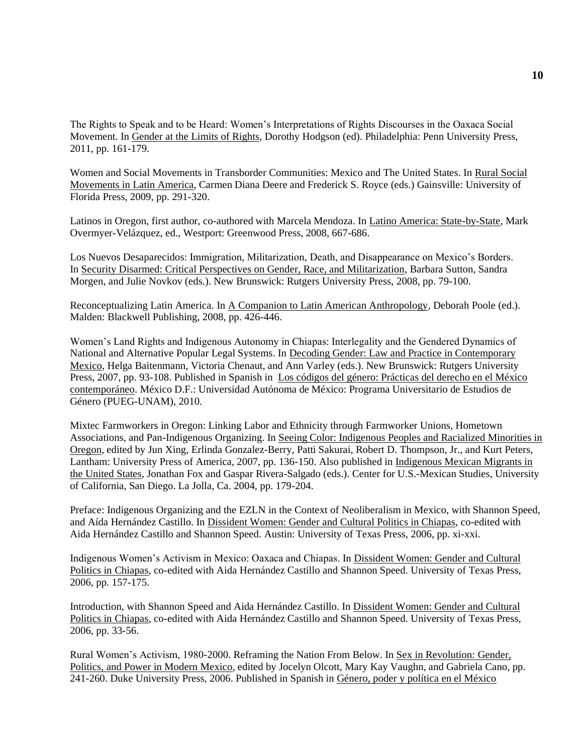The Rights to Speak and to be Heard: Women's Interpretations of Rights Discourses in the Oaxaca Social Movement. In Gender at the Limits of Rights, Dorothy Hodgson (ed). Philadelphia: Penn University Press, 2011, pp. 161-179.

Women and Social Movements in Transborder Communities: Mexico and The United States. In Rural Social Movements in Latin America, Carmen Diana Deere and Frederick S. Royce (eds.) Gainsville: University of Florida Press, 2009, pp. 291-320.

Latinos in Oregon, first author, co-authored with Marcela Mendoza. In Latino America: State-by-State, Mark Overmyer-Velázquez, ed., Westport: Greenwood Press, 2008, 667-686.

Los Nuevos Desaparecidos: Immigration, Militarization, Death, and Disappearance on Mexico's Borders. In Security Disarmed: Critical Perspectives on Gender, Race, and Militarization, Barbara Sutton, Sandra Morgen, and Julie Novkov (eds.). New Brunswick: Rutgers University Press, 2008, pp. 79-100.

Reconceptualizing Latin America. In A Companion to Latin American Anthropology, Deborah Poole (ed.). Malden: Blackwell Publishing, 2008, pp. 426-446.

Women's Land Rights and Indigenous Autonomy in Chiapas: Interlegality and the Gendered Dynamics of National and Alternative Popular Legal Systems. In Decoding Gender: Law and Practice in Contemporary Mexico, Helga Baitenmann, Victoria Chenaut, and Ann Varley (eds.). New Brunswick: Rutgers University Press, 2007, pp. 93-108. Published in Spanish in Los códigos del género: Prácticas del derecho en el México contemporáneo. México D.F.: Universidad Autónoma de México: Programa Universitario de Estudios de Género (PUEG-UNAM), 2010.

Mixtec Farmworkers in Oregon: Linking Labor and Ethnicity through Farmworker Unions, Hometown Associations, and Pan-Indigenous Organizing. In Seeing Color: Indigenous Peoples and Racialized Minorities in Oregon, edited by Jun Xing, Erlinda Gonzalez-Berry, Patti Sakurai, Robert D. Thompson, Jr., and Kurt Peters, Lantham: University Press of America, 2007, pp. 136-150. Also published in Indigenous Mexican Migrants in the United States, Jonathan Fox and Gaspar Rivera-Salgado (eds.). Center for U.S.-Mexican Studies, University of California, San Diego. La Jolla, Ca. 2004, pp. 179-204.

Preface: Indigenous Organizing and the EZLN in the Context of Neoliberalism in Mexico, with Shannon Speed, and Aída Hernández Castillo. In Dissident Women: Gender and Cultural Politics in Chiapas, co-edited with Aida Hernández Castillo and Shannon Speed. Austin: University of Texas Press, 2006, pp. xi-xxi.

Indigenous Women's Activism in Mexico: Oaxaca and Chiapas. In Dissident Women: Gender and Cultural Politics in Chiapas, co-edited with Aida Hernández Castillo and Shannon Speed. University of Texas Press, 2006, pp. 157-175.

Introduction, with Shannon Speed and Aida Hernández Castillo. In Dissident Women: Gender and Cultural Politics in Chiapas, co-edited with Aida Hernández Castillo and Shannon Speed. University of Texas Press, 2006, pp. 33-56.

Rural Women's Activism, 1980-2000. Reframing the Nation From Below. In Sex in Revolution: Gender, Politics, and Power in Modern Mexico, edited by Jocelyn Olcott, Mary Kay Vaughn, and Gabriela Cano, pp. 241-260. Duke University Press, 2006. Published in Spanish in Género, poder y política en el México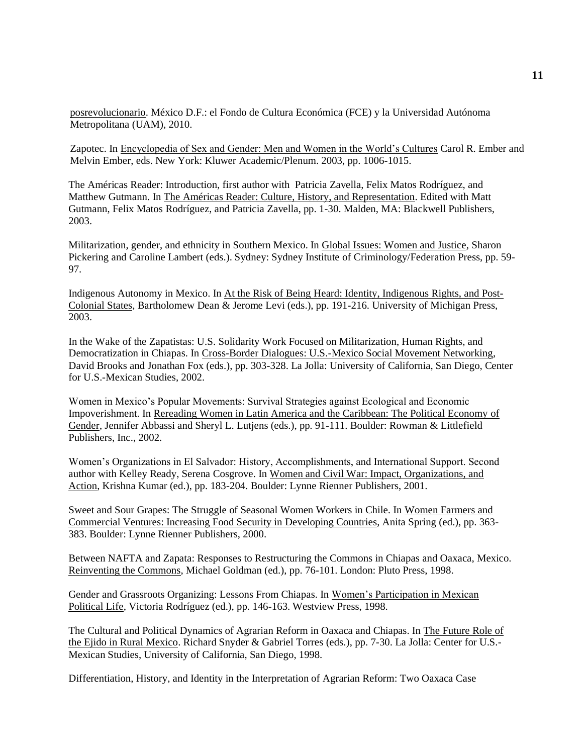posrevolucionario. México D.F.: el Fondo de Cultura Económica (FCE) y la Universidad Autónoma Metropolitana (UAM), 2010.

Zapotec. In Encyclopedia of Sex and Gender: Men and Women in the World's Cultures Carol R. Ember and Melvin Ember, eds. New York: Kluwer Academic/Plenum. 2003, pp. 1006-1015.

The Américas Reader: Introduction, first author with Patricia Zavella, Felix Matos Rodríguez, and Matthew Gutmann. In The Américas Reader: Culture, History, and Representation. Edited with Matt Gutmann, Felix Matos Rodríguez, and Patricia Zavella, pp. 1-30. Malden, MA: Blackwell Publishers, 2003.

Militarization, gender, and ethnicity in Southern Mexico. In Global Issues: Women and Justice, Sharon Pickering and Caroline Lambert (eds.). Sydney: Sydney Institute of Criminology/Federation Press, pp. 59- 97.

Indigenous Autonomy in Mexico. In At the Risk of Being Heard: Identity, Indigenous Rights, and Post-Colonial States, Bartholomew Dean & Jerome Levi (eds.), pp. 191-216. University of Michigan Press, 2003.

In the Wake of the Zapatistas: U.S. Solidarity Work Focused on Militarization, Human Rights, and Democratization in Chiapas. In Cross-Border Dialogues: U.S.-Mexico Social Movement Networking, David Brooks and Jonathan Fox (eds.), pp. 303-328. La Jolla: University of California, San Diego, Center for U.S.-Mexican Studies, 2002.

Women in Mexico's Popular Movements: Survival Strategies against Ecological and Economic Impoverishment. In Rereading Women in Latin America and the Caribbean: The Political Economy of Gender, Jennifer Abbassi and Sheryl L. Lutjens (eds.), pp. 91-111. Boulder: Rowman & Littlefield Publishers, Inc., 2002.

Women's Organizations in El Salvador: History, Accomplishments, and International Support. Second author with Kelley Ready, Serena Cosgrove. In Women and Civil War: Impact, Organizations, and Action, Krishna Kumar (ed.), pp. 183-204. Boulder: Lynne Rienner Publishers, 2001.

Sweet and Sour Grapes: The Struggle of Seasonal Women Workers in Chile. In Women Farmers and Commercial Ventures: Increasing Food Security in Developing Countries, Anita Spring (ed.), pp. 363- 383. Boulder: Lynne Rienner Publishers, 2000.

Between NAFTA and Zapata: Responses to Restructuring the Commons in Chiapas and Oaxaca, Mexico. Reinventing the Commons, Michael Goldman (ed.), pp. 76-101. London: Pluto Press, 1998.

Gender and Grassroots Organizing: Lessons From Chiapas. In Women's Participation in Mexican Political Life, Victoria Rodríguez (ed.), pp. 146-163. Westview Press, 1998.

The Cultural and Political Dynamics of Agrarian Reform in Oaxaca and Chiapas. In The Future Role of the Ejido in Rural Mexico. Richard Snyder & Gabriel Torres (eds.), pp. 7-30. La Jolla: Center for U.S.- Mexican Studies, University of California, San Diego, 1998.

Differentiation, History, and Identity in the Interpretation of Agrarian Reform: Two Oaxaca Case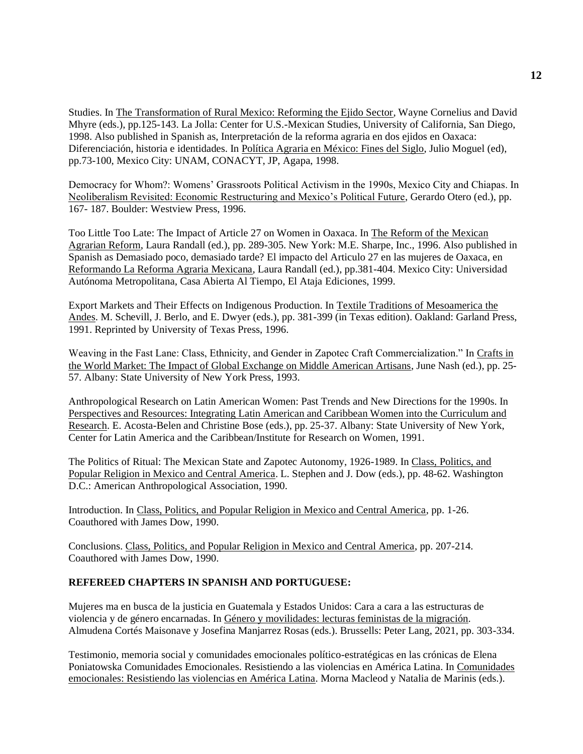Studies. In The Transformation of Rural Mexico: Reforming the Ejido Sector, Wayne Cornelius and David Mhyre (eds.), pp.125-143. La Jolla: Center for U.S.-Mexican Studies, University of California, San Diego, 1998. Also published in Spanish as, Interpretación de la reforma agraria en dos ejidos en Oaxaca: Diferenciación, historia e identidades. In Política Agraria en México: Fines del Siglo, Julio Moguel (ed), pp.73-100, Mexico City: UNAM, CONACYT, JP, Agapa, 1998.

Democracy for Whom?: Womens' Grassroots Political Activism in the 1990s, Mexico City and Chiapas. In Neoliberalism Revisited: Economic Restructuring and Mexico's Political Future, Gerardo Otero (ed.), pp. 167- 187. Boulder: Westview Press, 1996.

Too Little Too Late: The Impact of Article 27 on Women in Oaxaca. In The Reform of the Mexican Agrarian Reform, Laura Randall (ed.), pp. 289-305. New York: M.E. Sharpe, Inc., 1996. Also published in Spanish as Demasiado poco, demasiado tarde? El impacto del Articulo 27 en las mujeres de Oaxaca, en Reformando La Reforma Agraria Mexicana, Laura Randall (ed.), pp.381-404. Mexico City: Universidad Autónoma Metropolitana, Casa Abierta Al Tiempo, El Ataja Ediciones, 1999.

Export Markets and Their Effects on Indigenous Production. In Textile Traditions of Mesoamerica the Andes. M. Schevill, J. Berlo, and E. Dwyer (eds.), pp. 381-399 (in Texas edition). Oakland: Garland Press, 1991. Reprinted by University of Texas Press, 1996.

Weaving in the Fast Lane: Class, Ethnicity, and Gender in Zapotec Craft Commercialization." In Crafts in the World Market: The Impact of Global Exchange on Middle American Artisans, June Nash (ed.), pp. 25- 57. Albany: State University of New York Press, 1993.

Anthropological Research on Latin American Women: Past Trends and New Directions for the 1990s. In Perspectives and Resources: Integrating Latin American and Caribbean Women into the Curriculum and Research. E. Acosta-Belen and Christine Bose (eds.), pp. 25-37. Albany: State University of New York, Center for Latin America and the Caribbean/Institute for Research on Women, 1991.

The Politics of Ritual: The Mexican State and Zapotec Autonomy, 1926-1989. In Class, Politics, and Popular Religion in Mexico and Central America. L. Stephen and J. Dow (eds.), pp. 48-62. Washington D.C.: American Anthropological Association, 1990.

Introduction. In Class, Politics, and Popular Religion in Mexico and Central America, pp. 1-26. Coauthored with James Dow, 1990.

Conclusions. Class, Politics, and Popular Religion in Mexico and Central America, pp. 207-214. Coauthored with James Dow, 1990.

## **REFEREED CHAPTERS IN SPANISH AND PORTUGUESE:**

Mujeres ma en busca de la justicia en Guatemala y Estados Unidos: Cara a cara a las estructuras de violencia y de género encarnadas. In Género y movilidades: lecturas feministas de la migración. Almudena Cortés Maisonave y Josefina Manjarrez Rosas (eds.). Brussells: Peter Lang, 2021, pp. 303-334.

Testimonio, memoria social y comunidades emocionales político-estratégicas en las crónicas de Elena Poniatowska Comunidades Emocionales. Resistiendo a las violencias en América Latina. In Comunidades emocionales: Resistiendo las violencias en América Latina. Morna Macleod y Natalia de Marinis (eds.).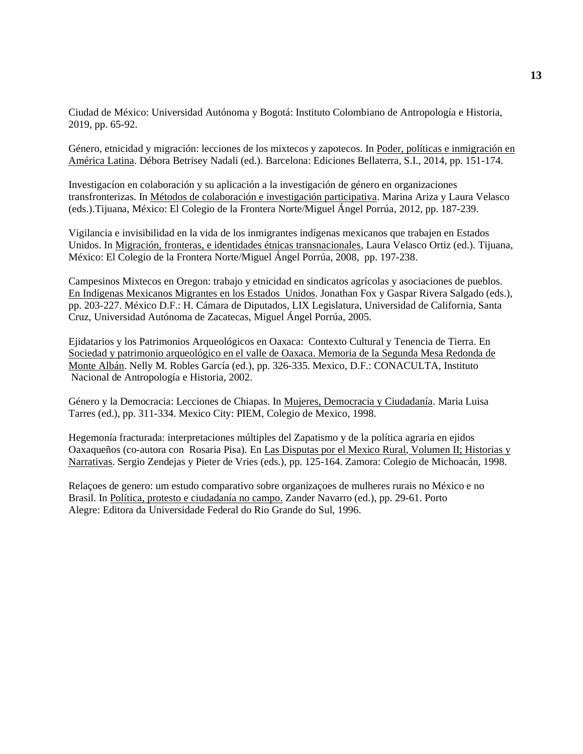Ciudad de México: Universidad Autónoma y Bogotá: Instituto Colombiano de Antropología e Historia, 2019, pp. 65-92.

Género, etnicidad y migración: lecciones de los mixtecos y zapotecos. In Poder, políticas e inmigración en América Latina. Débora Betrisey Nadali (ed.). Barcelona: Ediciones Bellaterra, S.I., 2014, pp. 151-174.

Investigacíon en colaboración y su aplicación a la investigación de género en organizaciones transfronterizas. In Métodos de colaboración e investigación participativa. Marina Ariza y Laura Velasco (eds.).Tijuana, México: El Colegio de la Frontera Norte/Miguel Ángel Porrúa, 2012, pp. 187-239.

Vigilancia e invisibilidad en la vida de los inmigrantes indígenas mexicanos que trabajen en Estados Unidos. In Migración, fronteras, e identidades étnicas transnacionales, Laura Velasco Ortiz (ed.). Tijuana, México: El Colegio de la Frontera Norte/Miguel Ángel Porrúa, 2008, pp. 197-238.

Campesinos Mixtecos en Oregon: trabajo y etnicidad en sindicatos agrícolas y asociaciones de pueblos. En Indígenas Mexicanos Migrantes en los Estados Unidos. Jonathan Fox y Gaspar Rivera Salgado (eds.), pp. 203-227. México D.F.: H. Cámara de Diputados, LIX Legislatura, Universidad de California, Santa Cruz, Universidad Autónoma de Zacatecas, Miguel Ángel Porrúa, 2005.

Ejidatarios y los Patrimonios Arqueológicos en Oaxaca: Contexto Cultural y Tenencia de Tierra. En Sociedad y patrimonio arqueológico en el valle de Oaxaca. Memoria de la Segunda Mesa Redonda de Monte Albán. Nelly M. Robles García (ed.), pp. 326-335. Mexico, D.F.: CONACULTA, Instituto Nacional de Antropología e Historia, 2002.

Género y la Democracia: Lecciones de Chiapas. In Mujeres, Democracia y Ciudadanía. Maria Luisa Tarres (ed.), pp. 311-334. Mexico City: PIEM, Colegio de Mexico, 1998.

Hegemonía fracturada: interpretaciones múltiples del Zapatismo y de la política agraria en ejidos Oaxaqueños (co-autora con Rosaria Pisa). En Las Disputas por el Mexico Rural, Volumen II; Historias y Narrativas. Sergio Zendejas y Pieter de Vries (eds.), pp. 125-164. Zamora: Colegio de Michoacán, 1998.

Relaçoes de genero: um estudo comparativo sobre organizaçoes de mulheres rurais no México e no Brasil. In Política, protesto e ciudadanía no campo. Zander Navarro (ed.), pp. 29-61. Porto Alegre: Editora da Universidade Federal do Rio Grande do Sul, 1996.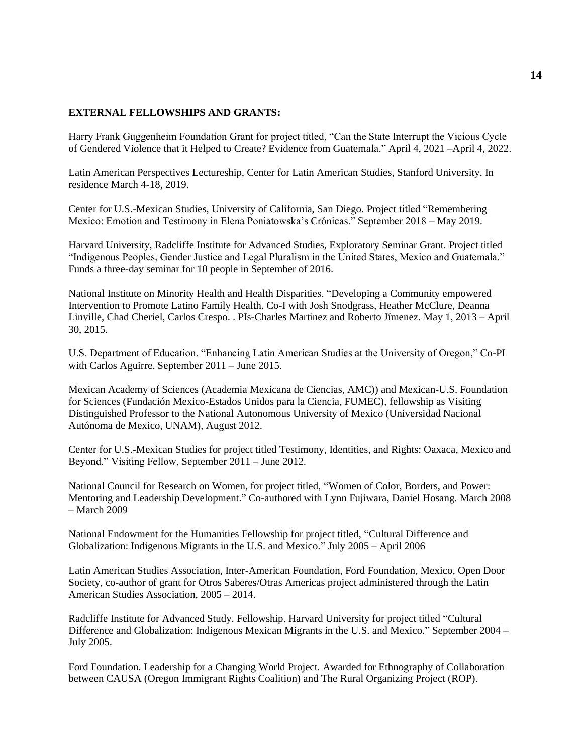#### **EXTERNAL FELLOWSHIPS AND GRANTS:**

Harry Frank Guggenheim Foundation Grant for project titled, "Can the State Interrupt the Vicious Cycle of Gendered Violence that it Helped to Create? Evidence from Guatemala." April 4, 2021 –April 4, 2022.

Latin American Perspectives Lectureship, Center for Latin American Studies, Stanford University. In residence March 4-18, 2019.

Center for U.S.-Mexican Studies, University of California, San Diego. Project titled "Remembering Mexico: Emotion and Testimony in Elena Poniatowska's Crónicas." September 2018 – May 2019.

Harvard University, Radcliffe Institute for Advanced Studies, Exploratory Seminar Grant. Project titled "Indigenous Peoples, Gender Justice and Legal Pluralism in the United States, Mexico and Guatemala." Funds a three-day seminar for 10 people in September of 2016.

National Institute on Minority Health and Health Disparities. "Developing a Community empowered Intervention to Promote Latino Family Health. Co-I with Josh Snodgrass, Heather McClure, Deanna Linville, Chad Cheriel, Carlos Crespo. . PIs-Charles Martinez and Roberto Jímenez. May 1, 2013 – April 30, 2015.

U.S. Department of Education. "Enhancing Latin American Studies at the University of Oregon," Co-PI with Carlos Aguirre. September 2011 – June 2015.

Mexican Academy of Sciences (Academia Mexicana de Ciencias, AMC)) and Mexican-U.S. Foundation for Sciences (Fundación Mexico-Estados Unidos para la Ciencia, FUMEC), fellowship as Visiting Distinguished Professor to the National Autonomous University of Mexico (Universidad Nacional Autónoma de Mexico, UNAM), August 2012.

Center for U.S.-Mexican Studies for project titled Testimony, Identities, and Rights: Oaxaca, Mexico and Beyond." Visiting Fellow, September 2011 – June 2012.

National Council for Research on Women, for project titled, "Women of Color, Borders, and Power: Mentoring and Leadership Development." Co-authored with Lynn Fujiwara, Daniel Hosang. March 2008 – March 2009

National Endowment for the Humanities Fellowship for project titled, "Cultural Difference and Globalization: Indigenous Migrants in the U.S. and Mexico." July 2005 – April 2006

Latin American Studies Association, Inter-American Foundation, Ford Foundation, Mexico, Open Door Society, co-author of grant for Otros Saberes/Otras Americas project administered through the Latin American Studies Association, 2005 – 2014.

Radcliffe Institute for Advanced Study. Fellowship. Harvard University for project titled "Cultural Difference and Globalization: Indigenous Mexican Migrants in the U.S. and Mexico." September 2004 – July 2005.

Ford Foundation. Leadership for a Changing World Project. Awarded for Ethnography of Collaboration between CAUSA (Oregon Immigrant Rights Coalition) and The Rural Organizing Project (ROP).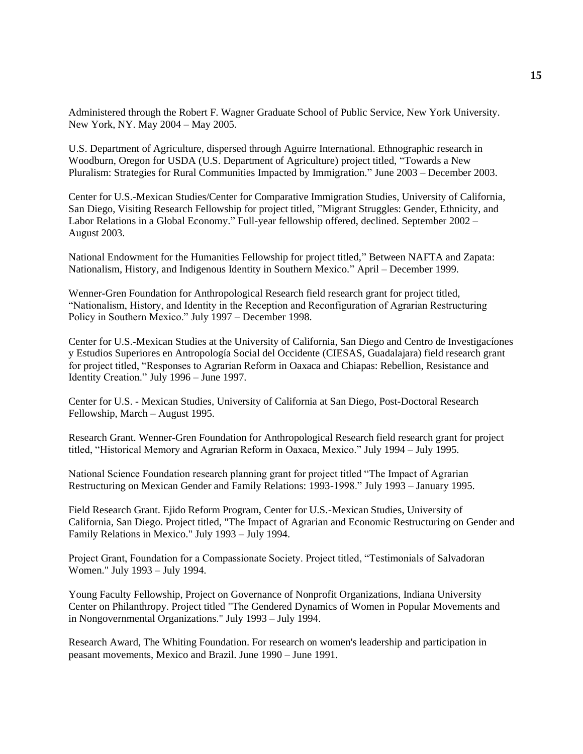Administered through the Robert F. Wagner Graduate School of Public Service, New York University. New York, NY. May 2004 – May 2005.

U.S. Department of Agriculture, dispersed through Aguirre International. Ethnographic research in Woodburn, Oregon for USDA (U.S. Department of Agriculture) project titled, "Towards a New Pluralism: Strategies for Rural Communities Impacted by Immigration." June 2003 – December 2003.

Center for U.S.-Mexican Studies/Center for Comparative Immigration Studies, University of California, San Diego, Visiting Research Fellowship for project titled, "Migrant Struggles: Gender, Ethnicity, and Labor Relations in a Global Economy." Full-year fellowship offered, declined. September 2002 – August 2003.

National Endowment for the Humanities Fellowship for project titled," Between NAFTA and Zapata: Nationalism, History, and Indigenous Identity in Southern Mexico." April – December 1999.

Wenner-Gren Foundation for Anthropological Research field research grant for project titled, "Nationalism, History, and Identity in the Reception and Reconfiguration of Agrarian Restructuring Policy in Southern Mexico." July 1997 – December 1998.

Center for U.S.-Mexican Studies at the University of California, San Diego and Centro de Investigacíones y Estudios Superiores en Antropología Social del Occidente (CIESAS, Guadalajara) field research grant for project titled, "Responses to Agrarian Reform in Oaxaca and Chiapas: Rebellion, Resistance and Identity Creation." July 1996 – June 1997.

Center for U.S. - Mexican Studies, University of California at San Diego, Post-Doctoral Research Fellowship, March – August 1995.

Research Grant. Wenner-Gren Foundation for Anthropological Research field research grant for project titled, "Historical Memory and Agrarian Reform in Oaxaca, Mexico." July 1994 – July 1995.

National Science Foundation research planning grant for project titled "The Impact of Agrarian Restructuring on Mexican Gender and Family Relations: 1993-1998." July 1993 – January 1995.

Field Research Grant. Ejido Reform Program, Center for U.S.-Mexican Studies, University of California, San Diego. Project titled, "The Impact of Agrarian and Economic Restructuring on Gender and Family Relations in Mexico." July 1993 – July 1994.

Project Grant, Foundation for a Compassionate Society. Project titled, "Testimonials of Salvadoran Women." July 1993 – July 1994.

Young Faculty Fellowship, Project on Governance of Nonprofit Organizations, Indiana University Center on Philanthropy. Project titled "The Gendered Dynamics of Women in Popular Movements and in Nongovernmental Organizations." July 1993 – July 1994.

Research Award, The Whiting Foundation. For research on women's leadership and participation in peasant movements, Mexico and Brazil. June 1990 – June 1991.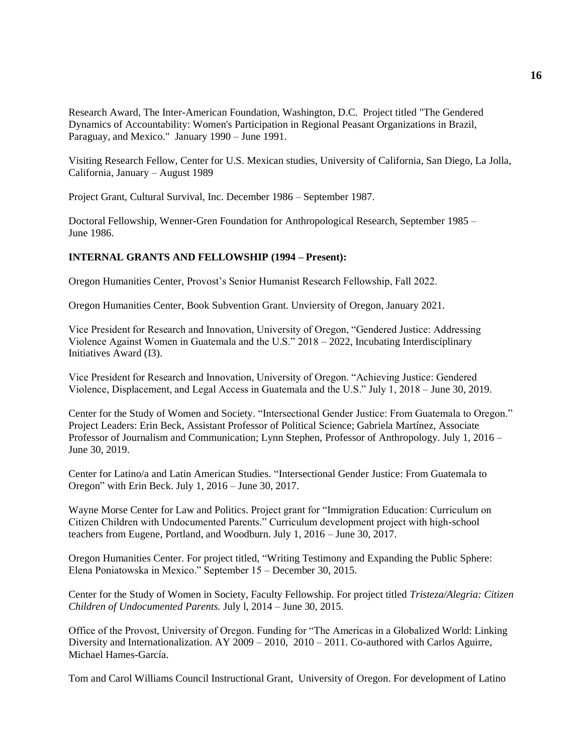Research Award, The Inter-American Foundation, Washington, D.C. Project titled "The Gendered Dynamics of Accountability: Women's Participation in Regional Peasant Organizations in Brazil, Paraguay, and Mexico." January 1990 – June 1991.

Visiting Research Fellow, Center for U.S. Mexican studies, University of California, San Diego, La Jolla, California, January – August 1989

Project Grant, Cultural Survival, Inc. December 1986 – September 1987.

Doctoral Fellowship, Wenner-Gren Foundation for Anthropological Research, September 1985 – June 1986.

#### **INTERNAL GRANTS AND FELLOWSHIP (1994 – Present):**

Oregon Humanities Center, Provost's Senior Humanist Research Fellowship, Fall 2022.

Oregon Humanities Center, Book Subvention Grant. Unviersity of Oregon, January 2021.

Vice President for Research and Innovation, University of Oregon, "Gendered Justice: Addressing Violence Against Women in Guatemala and the U.S." 2018 – 2022, Incubating Interdisciplinary Initiatives Award (I3).

Vice President for Research and Innovation, University of Oregon. "Achieving Justice: Gendered Violence, Displacement, and Legal Access in Guatemala and the U.S." July 1, 2018 – June 30, 2019.

Center for the Study of Women and Society. "Intersectional Gender Justice: From Guatemala to Oregon." Project Leaders: Erin Beck, Assistant Professor of Political Science; Gabriela Martínez, Associate Professor of Journalism and Communication; Lynn Stephen, Professor of Anthropology. July 1, 2016 – June 30, 2019.

Center for Latino/a and Latin American Studies. "Intersectional Gender Justice: From Guatemala to Oregon" with Erin Beck. July 1, 2016 – June 30, 2017.

Wayne Morse Center for Law and Politics. Project grant for "Immigration Education: Curriculum on Citizen Children with Undocumented Parents." Curriculum development project with high-school teachers from Eugene, Portland, and Woodburn. July 1, 2016 – June 30, 2017.

Oregon Humanities Center. For project titled, "Writing Testimony and Expanding the Public Sphere: Elena Poniatowska in Mexico." September 15 – December 30, 2015.

Center for the Study of Women in Society, Faculty Fellowship. For project titled *Tristeza/Alegria: Citizen Children of Undocumented Parents.* July l, 2014 – June 30, 2015.

Office of the Provost, University of Oregon. Funding for "The Americas in a Globalized World: Linking Diversity and Internationalization. AY 2009 – 2010, 2010 – 2011. Co-authored with Carlos Aguirre, Michael Hames-García.

Tom and Carol Williams Council Instructional Grant, University of Oregon. For development of Latino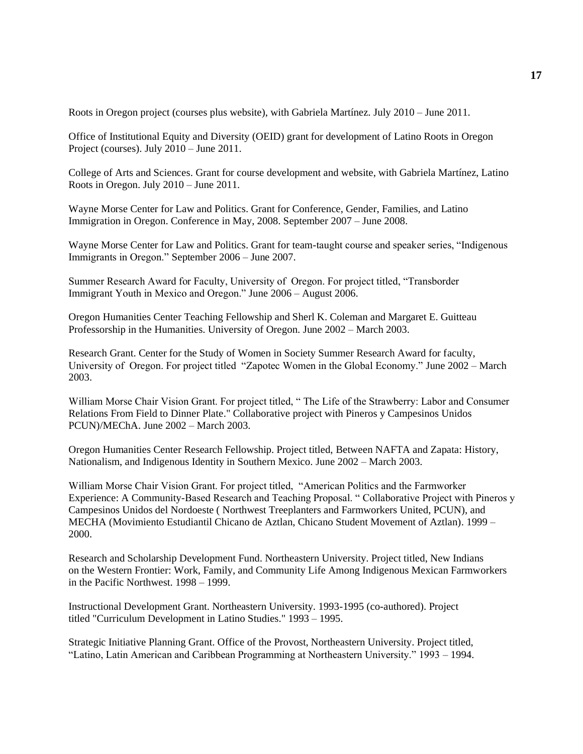Roots in Oregon project (courses plus website), with Gabriela Martínez. July 2010 – June 2011.

Office of Institutional Equity and Diversity (OEID) grant for development of Latino Roots in Oregon Project (courses). July 2010 – June 2011.

College of Arts and Sciences. Grant for course development and website, with Gabriela Martínez, Latino Roots in Oregon. July 2010 – June 2011.

Wayne Morse Center for Law and Politics. Grant for Conference, Gender, Families, and Latino Immigration in Oregon. Conference in May, 2008. September 2007 – June 2008.

Wayne Morse Center for Law and Politics. Grant for team-taught course and speaker series, "Indigenous Immigrants in Oregon." September 2006 – June 2007.

Summer Research Award for Faculty, University of Oregon. For project titled, "Transborder Immigrant Youth in Mexico and Oregon." June 2006 – August 2006.

Oregon Humanities Center Teaching Fellowship and Sherl K. Coleman and Margaret E. Guitteau Professorship in the Humanities. University of Oregon. June 2002 – March 2003.

Research Grant. Center for the Study of Women in Society Summer Research Award for faculty, University of Oregon. For project titled "Zapotec Women in the Global Economy." June 2002 – March 2003.

William Morse Chair Vision Grant. For project titled, " The Life of the Strawberry: Labor and Consumer Relations From Field to Dinner Plate." Collaborative project with Pineros y Campesinos Unidos PCUN)/MEChA. June 2002 – March 2003.

Oregon Humanities Center Research Fellowship. Project titled, Between NAFTA and Zapata: History, Nationalism, and Indigenous Identity in Southern Mexico. June 2002 – March 2003.

William Morse Chair Vision Grant. For project titled, "American Politics and the Farmworker Experience: A Community-Based Research and Teaching Proposal. " Collaborative Project with Pineros y Campesinos Unidos del Nordoeste ( Northwest Treeplanters and Farmworkers United, PCUN), and MECHA (Movimiento Estudiantil Chicano de Aztlan, Chicano Student Movement of Aztlan). 1999 – 2000.

Research and Scholarship Development Fund. Northeastern University. Project titled, New Indians on the Western Frontier: Work, Family, and Community Life Among Indigenous Mexican Farmworkers in the Pacific Northwest. 1998 – 1999.

Instructional Development Grant. Northeastern University. 1993-1995 (co-authored). Project titled "Curriculum Development in Latino Studies." 1993 – 1995.

Strategic Initiative Planning Grant. Office of the Provost, Northeastern University. Project titled, "Latino, Latin American and Caribbean Programming at Northeastern University." 1993 – 1994.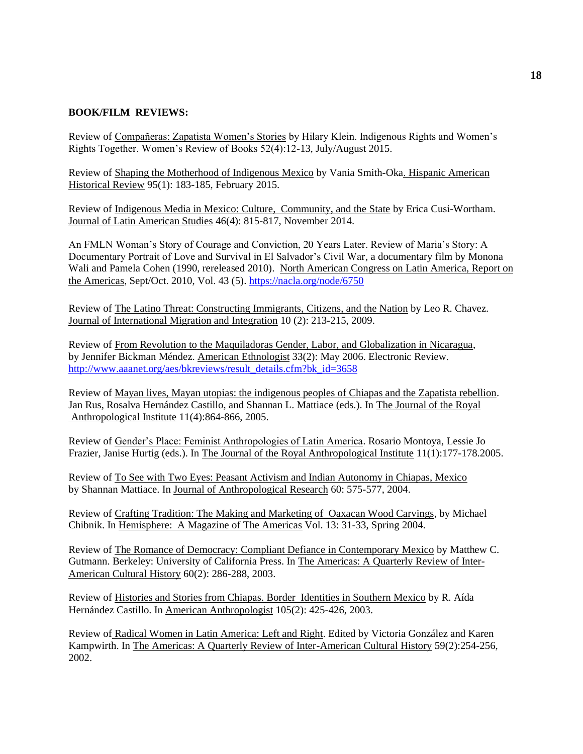## **BOOK/FILM REVIEWS:**

Review of Compañeras: Zapatista Women's Stories by Hilary Klein. Indigenous Rights and Women's Rights Together. Women's Review of Books 52(4):12-13, July/August 2015.

Review of Shaping the Motherhood of Indigenous Mexico by Vania Smith-Oka. Hispanic American Historical Review 95(1): 183-185, February 2015.

Review of Indigenous Media in Mexico: Culture, Community, and the State by Erica Cusi-Wortham. Journal of Latin American Studies 46(4): 815-817, November 2014.

An FMLN Woman's Story of Courage and Conviction, 20 Years Later. Review of Maria's Story: A Documentary Portrait of Love and Survival in El Salvador's Civil War, a documentary film by Monona Wali and Pamela Cohen (1990, rereleased 2010). North American Congress on Latin America, Report on the Americas, Sept/Oct. 2010, Vol. 43 (5).<https://nacla.org/node/6750>

Review of The Latino Threat: Constructing Immigrants, Citizens, and the Nation by Leo R. Chavez. Journal of International Migration and Integration 10 (2): 213-215, 2009.

Review of From Revolution to the Maquiladoras Gender, Labor, and Globalization in Nicaragua, by Jennifer Bickman Méndez. American Ethnologist 33(2): May 2006. Electronic Review. [http://www.aaanet.org/aes/bkreviews/result\\_details.cfm?bk\\_id=3658](http://www.aaanet.org/aes/bkreviews/result_details.cfm?bk_id=3658)

Review of Mayan lives, Mayan utopias: the indigenous peoples of Chiapas and the Zapatista rebellion. Jan Rus, Rosalva Hernández Castillo, and Shannan L. Mattiace (eds.). In The Journal of the Royal Anthropological Institute 11(4):864-866, 2005.

Review of Gender's Place: Feminist Anthropologies of Latin America. Rosario Montoya, Lessie Jo Frazier, Janise Hurtig (eds.). In The Journal of the Royal Anthropological Institute 11(1):177-178.2005.

Review of To See with Two Eyes: Peasant Activism and Indian Autonomy in Chiapas, Mexico by Shannan Mattiace. In Journal of Anthropological Research 60: 575-577, 2004.

Review of Crafting Tradition: The Making and Marketing of Oaxacan Wood Carvings, by Michael Chibnik. In Hemisphere: A Magazine of The Americas Vol. 13: 31-33, Spring 2004.

Review of The Romance of Democracy: Compliant Defiance in Contemporary Mexico by Matthew C. Gutmann. Berkeley: University of California Press. In The Americas: A Quarterly Review of Inter-American Cultural History 60(2): 286-288, 2003.

Review of Histories and Stories from Chiapas. Border Identities in Southern Mexico by R. Aída Hernández Castillo. In American Anthropologist 105(2): 425-426, 2003.

Review of Radical Women in Latin America: Left and Right. Edited by Victoria González and Karen Kampwirth. In The Americas: A Quarterly Review of Inter-American Cultural History 59(2):254-256, 2002.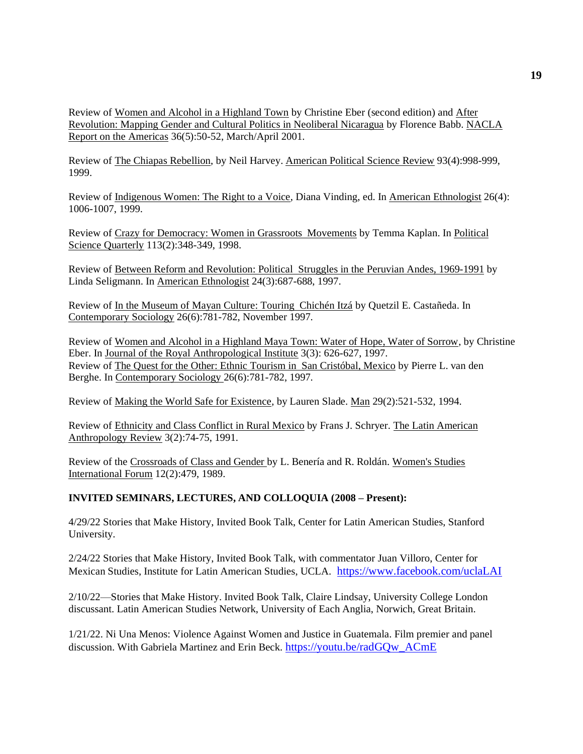Review of Women and Alcohol in a Highland Town by Christine Eber (second edition) and After Revolution: Mapping Gender and Cultural Politics in Neoliberal Nicaragua by Florence Babb. NACLA Report on the Americas 36(5):50-52, March/April 2001.

Review of The Chiapas Rebellion, by Neil Harvey. American Political Science Review 93(4):998-999, 1999.

Review of Indigenous Women: The Right to a Voice, Diana Vinding, ed. In American Ethnologist 26(4): 1006-1007, 1999.

Review of Crazy for Democracy: Women in Grassroots Movements by Temma Kaplan. In Political Science Quarterly 113(2):348-349, 1998.

Review of Between Reform and Revolution: Political Struggles in the Peruvian Andes, 1969-1991 by Linda Seligmann. In American Ethnologist 24(3):687-688, 1997.

Review of In the Museum of Mayan Culture: Touring Chichén Itzá by Quetzil E. Castañeda. In Contemporary Sociology 26(6):781-782, November 1997.

Review of Women and Alcohol in a Highland Maya Town: Water of Hope, Water of Sorrow, by Christine Eber. In Journal of the Royal Anthropological Institute 3(3): 626-627, 1997. Review of The Quest for the Other: Ethnic Tourism in San Cristóbal, Mexico by Pierre L. van den Berghe. In Contemporary Sociology 26(6):781-782, 1997.

Review of Making the World Safe for Existence, by Lauren Slade. Man 29(2):521-532, 1994.

Review of Ethnicity and Class Conflict in Rural Mexico by Frans J. Schryer. The Latin American Anthropology Review 3(2):74-75, 1991.

Review of the Crossroads of Class and Gender by L. Benería and R. Roldán. Women's Studies International Forum 12(2):479, 1989.

## **INVITED SEMINARS, LECTURES, AND COLLOQUIA (2008 – Present):**

4/29/22 Stories that Make History, Invited Book Talk, Center for Latin American Studies, Stanford University.

2/24/22 Stories that Make History, Invited Book Talk, with commentator Juan Villoro, Center for Mexican Studies, Institute for Latin American Studies, UCLA. [https://www.facebook.com/uclaLAI](https://urldefense.com/v3/__https:/www.facebook.com/uclaLAI__;!!C5qS4YX3!VvEl6tlVxFX8jeZclVdcfOEC8RIx0P5F5u7nUyeLD3gq50TRcTOmp2y5WMo8seX8jw$)

2/10/22—Stories that Make History. Invited Book Talk, Claire Lindsay, University College London discussant. Latin American Studies Network, University of Each Anglia, Norwich, Great Britain.

1/21/22. Ni Una Menos: Violence Against Women and Justice in Guatemala. Film premier and panel discussion. With Gabriela Martinez and Erin Beck. [https://youtu.be/radGQw\\_ACmE](https://youtu.be/radGQw_ACmE)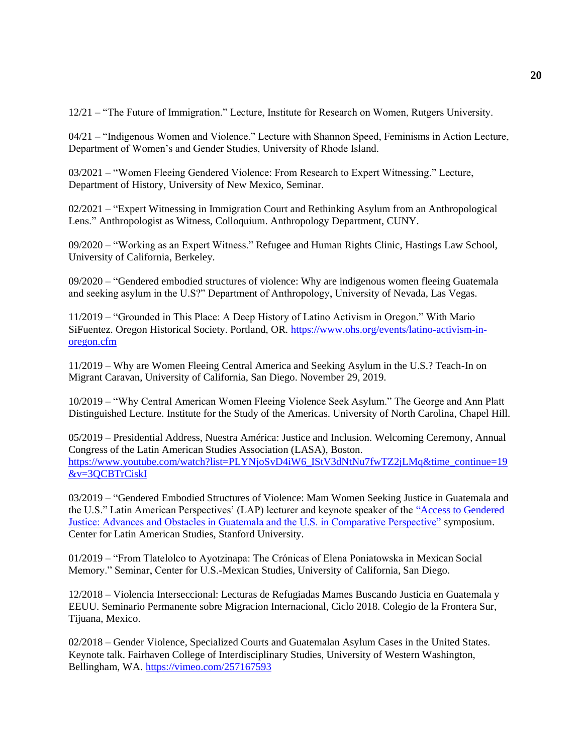12/21 – "The Future of Immigration." Lecture, Institute for Research on Women, Rutgers University.

04/21 – "Indigenous Women and Violence." Lecture with Shannon Speed, Feminisms in Action Lecture, Department of Women's and Gender Studies, University of Rhode Island.

03/2021 – "Women Fleeing Gendered Violence: From Research to Expert Witnessing." Lecture, Department of History, University of New Mexico, Seminar.

02/2021 – "Expert Witnessing in Immigration Court and Rethinking Asylum from an Anthropological Lens." Anthropologist as Witness, Colloquium. Anthropology Department, CUNY.

09/2020 – "Working as an Expert Witness." Refugee and Human Rights Clinic, Hastings Law School, University of California, Berkeley.

09/2020 – "Gendered embodied structures of violence: Why are indigenous women fleeing Guatemala and seeking asylum in the U.S?" Department of Anthropology, University of Nevada, Las Vegas.

11/2019 – "Grounded in This Place: A Deep History of Latino Activism in Oregon." With Mario SiFuentez. Oregon Historical Society. Portland, OR. [https://www.ohs.org/events/latino-activism-in](https://www.ohs.org/events/latino-activism-in-oregon.cfm)[oregon.cfm](https://www.ohs.org/events/latino-activism-in-oregon.cfm)

11/2019 – Why are Women Fleeing Central America and Seeking Asylum in the U.S.? Teach-In on Migrant Caravan, University of California, San Diego. November 29, 2019.

10/2019 – "Why Central American Women Fleeing Violence Seek Asylum." The George and Ann Platt Distinguished Lecture. Institute for the Study of the Americas. University of North Carolina, Chapel Hill.

05/2019 – Presidential Address, Nuestra América: Justice and Inclusion. Welcoming Ceremony, Annual Congress of the Latin American Studies Association (LASA), Boston. [https://www.youtube.com/watch?list=PLYNjoSvD4iW6\\_IStV3dNtNu7fwTZ2jLMq&time\\_continue=19](https://www.youtube.com/watch?list=PLYNjoSvD4iW6_IStV3dNtNu7fwTZ2jLMq&time_continue=19&v=3QCBTrCiskI) [&v=3QCBTrCiskI](https://www.youtube.com/watch?list=PLYNjoSvD4iW6_IStV3dNtNu7fwTZ2jLMq&time_continue=19&v=3QCBTrCiskI)

03/2019 – "Gendered Embodied Structures of Violence: Mam Women Seeking Justice in Guatemala and the U.S." Latin American Perspectives' (LAP) lecturer and keynote speaker of the ["Access to Gendered](https://arts.stanford.edu/events/824/82492/)  [Justice: Advances and Obstacles in Guatemala and the U.S. in Comparative Perspective"](https://arts.stanford.edu/events/824/82492/) symposium. Center for Latin American Studies, Stanford University.

01/2019 – "From Tlatelolco to Ayotzinapa: The Crónicas of Elena Poniatowska in Mexican Social Memory." Seminar, Center for U.S.-Mexican Studies, University of California, San Diego.

12/2018 – Violencia Interseccional: Lecturas de Refugiadas Mames Buscando Justicia en Guatemala y EEUU. Seminario Permanente sobre Migracion Internacional, Ciclo 2018. Colegio de la Frontera Sur, Tijuana, Mexico.

02/2018 – Gender Violence, Specialized Courts and Guatemalan Asylum Cases in the United States. Keynote talk. Fairhaven College of Interdisciplinary Studies, University of Western Washington, Bellingham, WA. <https://vimeo.com/257167593>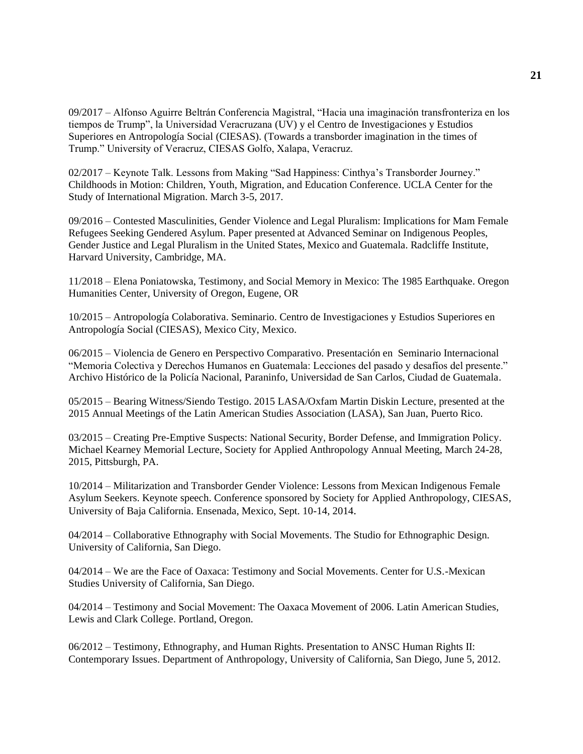09/2017 – Alfonso Aguirre Beltrán Conferencia Magistral, "Hacia una imaginación transfronteriza en los tiempos de Trump", la Universidad Veracruzana (UV) y el Centro de Investigaciones y Estudios Superiores en Antropología Social (CIESAS). (Towards a transborder imagination in the times of Trump." University of Veracruz, CIESAS Golfo, Xalapa, Veracruz.

02/2017 – Keynote Talk. Lessons from Making "Sad Happiness: Cinthya's Transborder Journey." Childhoods in Motion: Children, Youth, Migration, and Education Conference. UCLA Center for the Study of International Migration. March 3-5, 2017.

09/2016 – Contested Masculinities, Gender Violence and Legal Pluralism: Implications for Mam Female Refugees Seeking Gendered Asylum. Paper presented at Advanced Seminar on Indigenous Peoples, Gender Justice and Legal Pluralism in the United States, Mexico and Guatemala. Radcliffe Institute, Harvard University, Cambridge, MA.

11/2018 – [Elena Poniatowska, Testimony, and Social Memory in Mexico:](http://las.uoregon.edu/2015/11/06/elena-poniatowska-testimony-and-social-memory-in-mexico-the-1985-earthquake/) The 1985 Earthquake. Oregon Humanities Center, University of Oregon, Eugene, OR

10/2015 – Antropología Colaborativa. Seminario. Centro de Investigaciones y Estudios Superiores en Antropología Social (CIESAS), Mexico City, Mexico.

06/2015 – Violencia de Genero en Perspectivo Comparativo. Presentación en Seminario Internacional "Memoria Colectiva y Derechos Humanos en Guatemala: Lecciones del pasado y desafíos del presente." Archivo Histórico de la Policía Nacional, Paraninfo, Universidad de San Carlos, Ciudad de Guatemala.

05/2015 – Bearing Witness/Siendo Testigo. 2015 LASA/Oxfam Martin Diskin Lecture, presented at the 2015 Annual Meetings of the Latin American Studies Association (LASA), San Juan, Puerto Rico.

03/2015 – Creating Pre-Emptive Suspects: National Security, Border Defense, and Immigration Policy. Michael Kearney Memorial Lecture, Society for Applied Anthropology Annual Meeting, March 24-28, 2015, Pittsburgh, PA.

10/2014 – Militarization and Transborder Gender Violence: Lessons from Mexican Indigenous Female Asylum Seekers. Keynote speech. Conference sponsored by Society for Applied Anthropology, CIESAS, University of Baja California. Ensenada, Mexico, Sept. 10-14, 2014.

04/2014 – Collaborative Ethnography with Social Movements. The Studio for Ethnographic Design. University of California, San Diego.

04/2014 – We are the Face of Oaxaca: Testimony and Social Movements. Center for U.S.-Mexican Studies University of California, San Diego.

04/2014 – Testimony and Social Movement: The Oaxaca Movement of 2006. Latin American Studies, Lewis and Clark College. Portland, Oregon.

06/2012 – Testimony, Ethnography, and Human Rights. Presentation to ANSC Human Rights II: Contemporary Issues. Department of Anthropology, University of California, San Diego, June 5, 2012.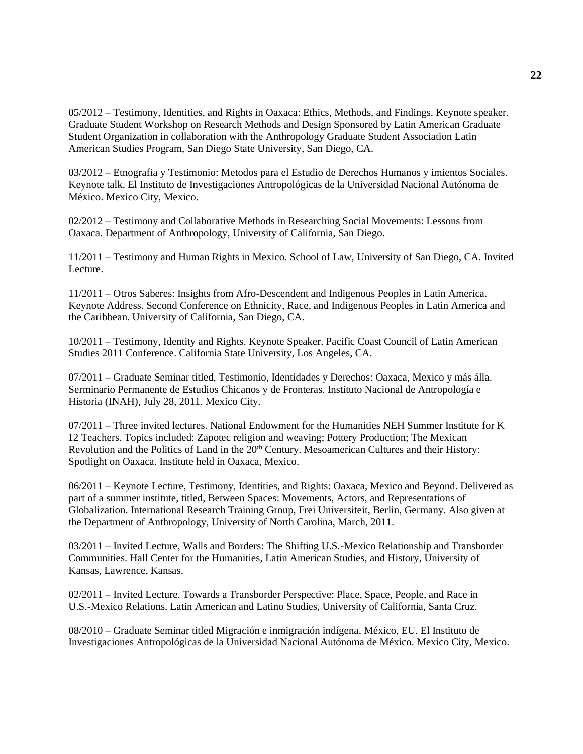05/2012 – Testimony, Identities, and Rights in Oaxaca: Ethics, Methods, and Findings. Keynote speaker. Graduate Student Workshop on Research Methods and Design Sponsored by Latin American Graduate Student Organization in collaboration with the Anthropology Graduate Student Association Latin American Studies Program, San Diego State University, San Diego, CA.

03/2012 – Etnografia y Testimonio: Metodos para el Estudio de Derechos Humanos y imientos Sociales. Keynote talk. El Instituto de Investigaciones Antropológicas de la Universidad Nacional Autónoma de México. Mexico City, Mexico.

02/2012 – Testimony and Collaborative Methods in Researching Social Movements: Lessons from Oaxaca. Department of Anthropology, University of California, San Diego.

11/2011 – Testimony and Human Rights in Mexico. School of Law, University of San Diego, CA. Invited Lecture.

11/2011 – Otros Saberes: Insights from Afro-Descendent and Indigenous Peoples in Latin America. Keynote Address. Second Conference on Ethnicity, Race, and Indigenous Peoples in Latin America and the Caribbean. University of California, San Diego, CA.

10/2011 – Testimony, Identity and Rights. Keynote Speaker. Pacific Coast Council of Latin American Studies 2011 Conference. California State University, Los Angeles, CA.

07/2011 – Graduate Seminar titled, Testimonio, Identidades y Derechos: Oaxaca, Mexico y más álla. Serminario Permanente de Estudios Chicanos y de Fronteras. Instituto Nacional de Antropología e Historia (INAH), July 28, 2011. Mexico City.

 $07/2011$  – Three invited lectures. National Endowment for the Humanities NEH Summer Institute for K 12 Teachers. Topics included: Zapotec religion and weaving; Pottery Production; The Mexican Revolution and the Politics of Land in the 20<sup>th</sup> Century. Mesoamerican Cultures and their History: Spotlight on Oaxaca. Institute held in Oaxaca, Mexico.

06/2011 – Keynote Lecture, Testimony, Identities, and Rights: Oaxaca, Mexico and Beyond. Delivered as part of a summer institute, titled, Between Spaces: Movements, Actors, and Representations of Globalization. International Research Training Group, Frei Universiteit, Berlin, Germany. Also given at the Department of Anthropology, University of North Carolina, March, 2011.

03/2011 – Invited Lecture, Walls and Borders: The Shifting U.S.-Mexico Relationship and Transborder Communities. Hall Center for the Humanities, Latin American Studies, and History, University of Kansas, Lawrence, Kansas.

02/2011 – Invited Lecture. Towards a Transborder Perspective: Place, Space, People, and Race in U.S.-Mexico Relations. Latin American and Latino Studies, University of California, Santa Cruz.

08/2010 – Graduate Seminar titled Migración e inmigración indígena, México, EU. El Instituto de Investigaciones Antropológicas de la Universidad Nacional Autónoma de México. Mexico City, Mexico.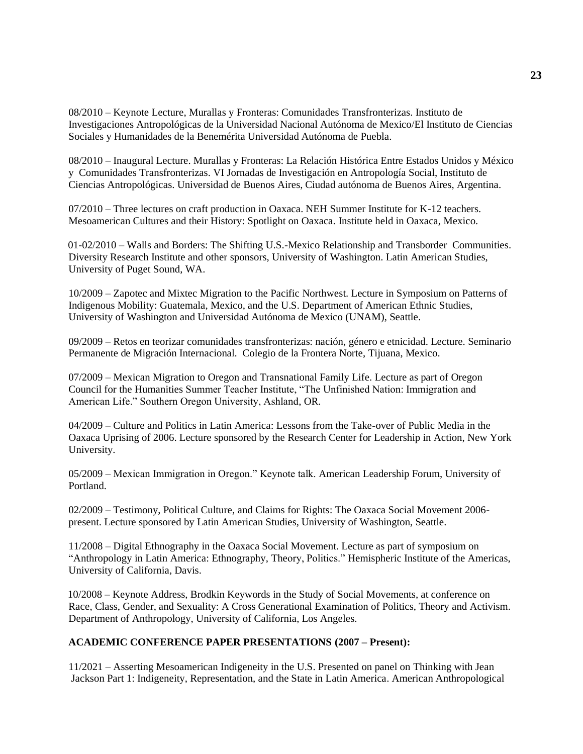08/2010 – Keynote Lecture, Murallas y Fronteras: Comunidades Transfronterizas. Instituto de Investigaciones Antropológicas de la Universidad Nacional Autónoma de Mexico/El Instituto de Ciencias Sociales y Humanidades de la Benemérita Universidad Autónoma de Puebla.

08/2010 – Inaugural Lecture. Murallas y Fronteras: La Relación Histórica Entre Estados Unidos y México y Comunidades Transfronterizas. VI Jornadas de Investigación en Antropología Social, Instituto de Ciencias Antropológicas. Universidad de Buenos Aires, Ciudad autónoma de Buenos Aires, Argentina.

07/2010 – Three lectures on craft production in Oaxaca. NEH Summer Institute for K-12 teachers. Mesoamerican Cultures and their History: Spotlight on Oaxaca. Institute held in Oaxaca, Mexico.

01-02/2010 – Walls and Borders: The Shifting U.S.-Mexico Relationship and Transborder Communities. Diversity Research Institute and other sponsors, University of Washington. Latin American Studies, University of Puget Sound, WA.

10/2009 – Zapotec and Mixtec Migration to the Pacific Northwest. Lecture in Symposium on Patterns of Indigenous Mobility: Guatemala, Mexico, and the U.S. Department of American Ethnic Studies, University of Washington and Universidad Autónoma de Mexico (UNAM), Seattle.

09/2009 – Retos en teorizar comunidades transfronterizas: nación, género e etnicidad. Lecture. Seminario Permanente de Migración Internacional. Colegio de la Frontera Norte, Tijuana, Mexico.

07/2009 – Mexican Migration to Oregon and Transnational Family Life. Lecture as part of Oregon Council for the Humanities Summer Teacher Institute, "The Unfinished Nation: Immigration and American Life." Southern Oregon University, Ashland, OR.

04/2009 – Culture and Politics in Latin America: Lessons from the Take-over of Public Media in the Oaxaca Uprising of 2006. Lecture sponsored by the Research Center for Leadership in Action, New York University.

05/2009 – Mexican Immigration in Oregon." Keynote talk. American Leadership Forum, University of Portland.

02/2009 – Testimony, Political Culture, and Claims for Rights: The Oaxaca Social Movement 2006 present. Lecture sponsored by Latin American Studies, University of Washington, Seattle.

11/2008 – Digital Ethnography in the Oaxaca Social Movement. Lecture as part of symposium on "Anthropology in Latin America: Ethnography, Theory, Politics." Hemispheric Institute of the Americas, University of California, Davis.

10/2008 – Keynote Address, Brodkin Keywords in the Study of Social Movements, at conference on Race, Class, Gender, and Sexuality: A Cross Generational Examination of Politics, Theory and Activism. Department of Anthropology, University of California, Los Angeles.

## **ACADEMIC CONFERENCE PAPER PRESENTATIONS (2007 – Present):**

11/2021 – Asserting Mesoamerican Indigeneity in the U.S. Presented on panel on Thinking with Jean Jackson Part 1: Indigeneity, Representation, and the State in Latin America. American Anthropological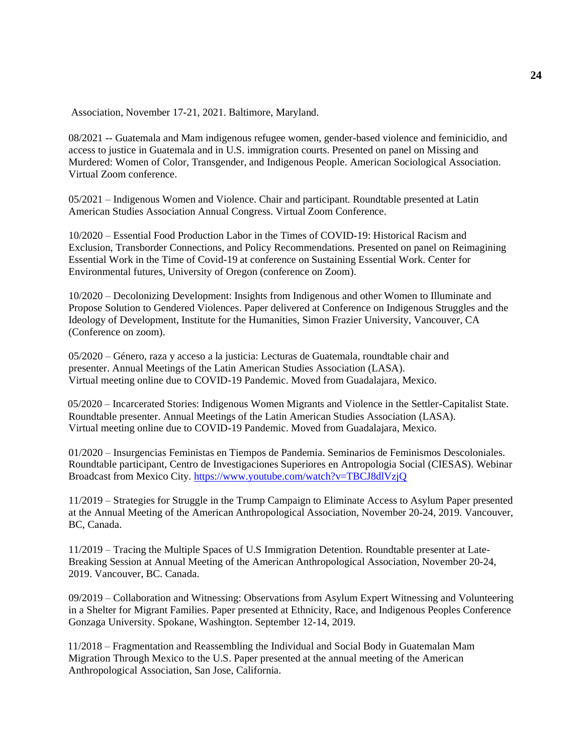Association, November 17-21, 2021. Baltimore, Maryland.

08/2021 -- Guatemala and Mam indigenous refugee women, gender-based violence and feminicidio, and access to justice in Guatemala and in U.S. immigration courts. Presented on panel on Missing and Murdered: Women of Color, Transgender, and Indigenous People. American Sociological Association. Virtual Zoom conference.

05/2021 – Indigenous Women and Violence. Chair and participant. Roundtable presented at Latin American Studies Association Annual Congress. Virtual Zoom Conference.

10/2020 – Essential Food Production Labor in the Times of COVID-19: Historical Racism and Exclusion, Transborder Connections, and Policy Recommendations. Presented on panel on Reimagining Essential Work in the Time of Covid-19 at conference on Sustaining Essential Work. Center for Environmental futures, University of Oregon (conference on Zoom).

10/2020 – Decolonizing Development: Insights from Indigenous and other Women to Illuminate and Propose Solution to Gendered Violences. Paper delivered at Conference on Indigenous Struggles and the Ideology of Development, Institute for the Humanities, Simon Frazier University, Vancouver, CA (Conference on zoom).

05/2020 – Género, raza y acceso a la justicia: Lecturas de Guatemala, roundtable chair and presenter. Annual Meetings of the Latin American Studies Association (LASA). Virtual meeting online due to COVID-19 Pandemic. Moved from Guadalajara, Mexico.

05/2020 – Incarcerated Stories: Indigenous Women Migrants and Violence in the Settler-Capitalist State. Roundtable presenter. Annual Meetings of the Latin American Studies Association (LASA). Virtual meeting online due to COVID-19 Pandemic. Moved from Guadalajara, Mexico.

01/2020 – Insurgencias Feministas en Tiempos de Pandemia. Seminarios de Feminismos Descoloniales. Roundtable participant, Centro de Investigaciones Superiores en Antropologia Social (CIESAS). Webinar Broadcast from Mexico City.<https://www.youtube.com/watch?v=TBCJ8dlVzjQ>

11/2019 – Strategies for Struggle in the Trump Campaign to Eliminate Access to Asylum Paper presented at the Annual Meeting of the American Anthropological Association, November 20-24, 2019. Vancouver, BC, Canada.

11/2019 – Tracing the Multiple Spaces of U.S Immigration Detention. Roundtable presenter at Late-Breaking Session at Annual Meeting of the American Anthropological Association, November 20-24, 2019. Vancouver, BC. Canada.

09/2019 – Collaboration and Witnessing: Observations from Asylum Expert Witnessing and Volunteering in a Shelter for Migrant Families. Paper presented at Ethnicity, Race, and Indigenous Peoples Conference Gonzaga University. Spokane, Washington. September 12-14, 2019.

11/2018 – Fragmentation and Reassembling the Individual and Social Body in Guatemalan Mam Migration Through Mexico to the U.S. Paper presented at the annual meeting of the American Anthropological Association, San Jose, California.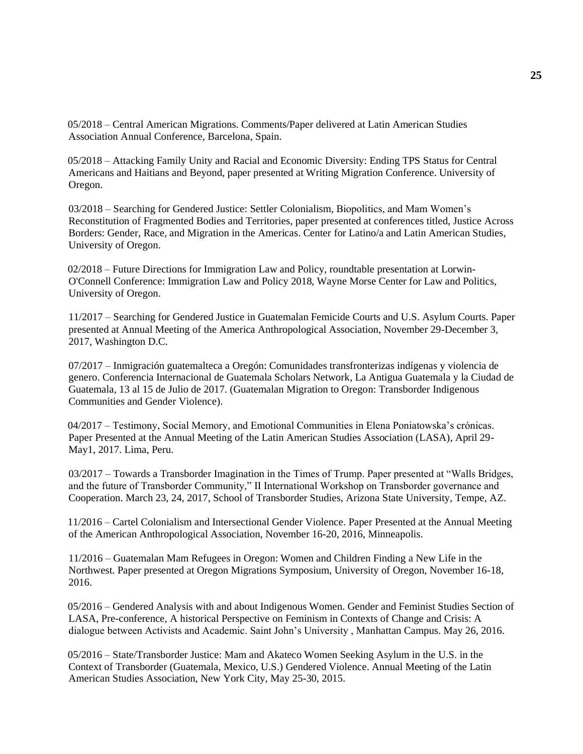05/2018 – Central American Migrations. Comments/Paper delivered at Latin American Studies Association Annual Conference, Barcelona, Spain.

05/2018 – Attacking Family Unity and Racial and Economic Diversity: Ending TPS Status for Central Americans and Haitians and Beyond, paper presented at Writing Migration Conference. University of Oregon.

03/2018 – Searching for Gendered Justice: Settler Colonialism, Biopolitics, and Mam Women's Reconstitution of Fragmented Bodies and Territories, paper presented at conferences titled, Justice Across Borders: Gender, Race, and Migration in the Americas. Center for Latino/a and Latin American Studies, University of Oregon.

02/2018 – Future Directions for Immigration Law and Policy, roundtable presentation at Lorwin-O'Connell Conference: Immigration Law and Policy 2018, Wayne Morse Center for Law and Politics, University of Oregon.

11/2017 – Searching for Gendered Justice in Guatemalan Femicide Courts and U.S. Asylum Courts. Paper presented at Annual Meeting of the America Anthropological Association, November 29-December 3, 2017, Washington D.C.

07/2017 – Inmigración guatemalteca a Oregón: Comunidades transfronterizas indígenas y violencia de genero. Conferencia Internacional de Guatemala Scholars Network, La Antigua Guatemala y la Ciudad de Guatemala, 13 al 15 de Julio de 2017. (Guatemalan Migration to Oregon: Transborder Indigenous Communities and Gender Violence).

04/2017 – Testimony, Social Memory, and Emotional Communities in Elena Poniatowska's crónicas. Paper Presented at the Annual Meeting of the Latin American Studies Association (LASA), April 29- May1, 2017. Lima, Peru.

03/2017 – Towards a Transborder Imagination in the Times of Trump. Paper presented at "Walls Bridges, and the future of Transborder Community," II International Workshop on Transborder governance and Cooperation. March 23, 24, 2017, School of Transborder Studies, Arizona State University, Tempe, AZ.

11/2016 – Cartel Colonialism and Intersectional Gender Violence. Paper Presented at the Annual Meeting of the American Anthropological Association, November 16-20, 2016, Minneapolis.

11/2016 – Guatemalan Mam Refugees in Oregon: Women and Children Finding a New Life in the Northwest. Paper presented at Oregon Migrations Symposium, University of Oregon, November 16-18, 2016.

05/2016 – Gendered Analysis with and about Indigenous Women. Gender and Feminist Studies Section of LASA, Pre-conference, A historical Perspective on Feminism in Contexts of Change and Crisis: A dialogue between Activists and Academic. Saint John's University , Manhattan Campus. May 26, 2016.

05/2016 – State/Transborder Justice: Mam and Akateco Women Seeking Asylum in the U.S. in the Context of Transborder (Guatemala, Mexico, U.S.) Gendered Violence. Annual Meeting of the Latin American Studies Association, New York City, May 25-30, 2015.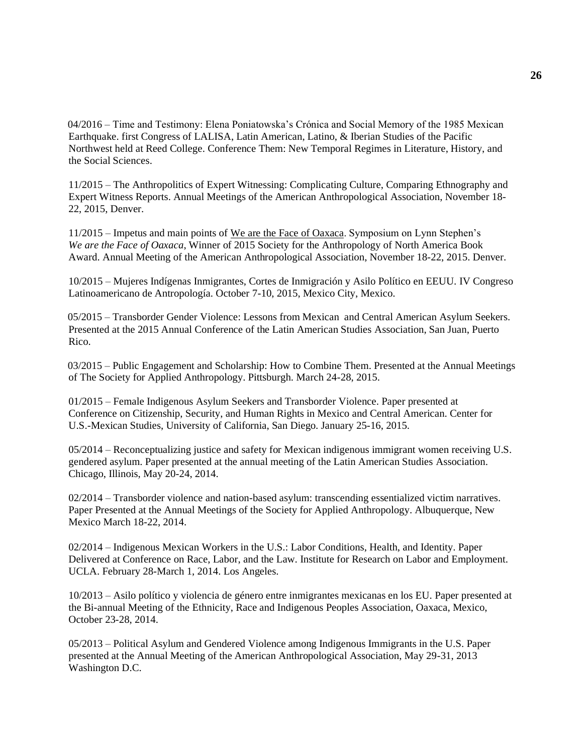04/2016 – Time and Testimony: Elena Poniatowska's Crónica and Social Memory of the 1985 Mexican Earthquake. first Congress of LALISA, Latin American, Latino, & Iberian Studies of the Pacific Northwest held at Reed College. Conference Them: New Temporal Regimes in Literature, History, and the Social Sciences.

11/2015 – The Anthropolitics of Expert Witnessing: Complicating Culture, Comparing Ethnography and Expert Witness Reports. Annual Meetings of the American Anthropological Association, November 18- 22, 2015, Denver.

11/2015 – Impetus and main points of We are the Face of Oaxaca. Symposium on Lynn Stephen's *We are the Face of Oaxaca*, Winner of 2015 Society for the Anthropology of North America Book Award. Annual Meeting of the American Anthropological Association, November 18-22, 2015. Denver.

10/2015 – Mujeres Indígenas Inmigrantes, Cortes de Inmigración y Asilo Político en EEUU. IV Congreso Latinoamericano de Antropología. October 7-10, 2015, Mexico City, Mexico.

05/2015 – Transborder Gender Violence: Lessons from Mexican and Central American Asylum Seekers. Presented at the 2015 Annual Conference of the Latin American Studies Association, San Juan, Puerto Rico.

03/2015 – Public Engagement and Scholarship: How to Combine Them. Presented at the Annual Meetings of The Society for Applied Anthropology. Pittsburgh. March 24-28, 2015.

01/2015 – Female Indigenous Asylum Seekers and Transborder Violence. Paper presented at Conference on Citizenship, Security, and Human Rights in Mexico and Central American. Center for U.S.-Mexican Studies, University of California, San Diego. January 25-16, 2015.

05/2014 – Reconceptualizing justice and safety for Mexican indigenous immigrant women receiving U.S. gendered asylum. Paper presented at the annual meeting of the Latin American Studies Association. Chicago, Illinois, May 20-24, 2014.

02/2014 – Transborder violence and nation-based asylum: transcending essentialized victim narratives. Paper Presented at the Annual Meetings of the Society for Applied Anthropology. Albuquerque, New Mexico March 18-22, 2014.

02/2014 – Indigenous Mexican Workers in the U.S.: Labor Conditions, Health, and Identity. Paper Delivered at Conference on Race, Labor, and the Law. Institute for Research on Labor and Employment. UCLA. February 28-March 1, 2014. Los Angeles.

10/2013 – Asilo político y violencia de género entre inmigrantes mexicanas en los EU. Paper presented at the Bi-annual Meeting of the Ethnicity, Race and Indigenous Peoples Association, Oaxaca, Mexico, October 23-28, 2014.

05/2013 – Political Asylum and Gendered Violence among Indigenous Immigrants in the U.S. Paper presented at the Annual Meeting of the American Anthropological Association, May 29-31, 2013 Washington D.C.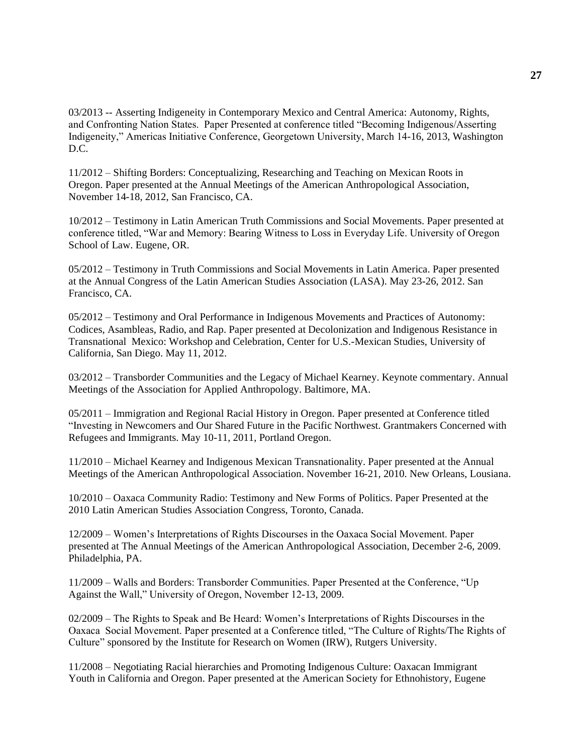03/2013 -- Asserting Indigeneity in Contemporary Mexico and Central America: Autonomy, Rights, and Confronting Nation States. Paper Presented at conference titled "Becoming Indigenous/Asserting Indigeneity," Americas Initiative Conference, Georgetown University, March 14-16, 2013, Washington D.C.

11/2012 – Shifting Borders: Conceptualizing, Researching and Teaching on Mexican Roots in Oregon. Paper presented at the Annual Meetings of the American Anthropological Association, November 14-18, 2012, San Francisco, CA.

10/2012 – Testimony in Latin American Truth Commissions and Social Movements. Paper presented at conference titled, "War and Memory: Bearing Witness to Loss in Everyday Life. University of Oregon School of Law. Eugene, OR.

05/2012 – Testimony in Truth Commissions and Social Movements in Latin America. Paper presented at the Annual Congress of the Latin American Studies Association (LASA). May 23-26, 2012. San Francisco, CA.

05/2012 – Testimony and Oral Performance in Indigenous Movements and Practices of Autonomy: Codices, Asambleas, Radio, and Rap. Paper presented at Decolonization and Indigenous Resistance in Transnational Mexico: Workshop and Celebration, Center for U.S.-Mexican Studies, University of California, San Diego. May 11, 2012.

03/2012 – Transborder Communities and the Legacy of Michael Kearney. Keynote commentary. Annual Meetings of the Association for Applied Anthropology. Baltimore, MA.

05/2011 – Immigration and Regional Racial History in Oregon. Paper presented at Conference titled "Investing in Newcomers and Our Shared Future in the Pacific Northwest. Grantmakers Concerned with Refugees and Immigrants. May 10-11, 2011, Portland Oregon.

11/2010 – Michael Kearney and Indigenous Mexican Transnationality. Paper presented at the Annual Meetings of the American Anthropological Association. November 16-21, 2010. New Orleans, Lousiana.

10/2010 – Oaxaca Community Radio: Testimony and New Forms of Politics. Paper Presented at the 2010 Latin American Studies Association Congress, Toronto, Canada.

12/2009 – Women's Interpretations of Rights Discourses in the Oaxaca Social Movement. Paper presented at The Annual Meetings of the American Anthropological Association, December 2-6, 2009. Philadelphia, PA.

11/2009 – Walls and Borders: Transborder Communities. Paper Presented at the Conference, "Up Against the Wall," University of Oregon, November 12-13, 2009.

02/2009 – The Rights to Speak and Be Heard: Women's Interpretations of Rights Discourses in the Oaxaca Social Movement. Paper presented at a Conference titled, "The Culture of Rights/The Rights of Culture" sponsored by the Institute for Research on Women (IRW), Rutgers University.

11/2008 – Negotiating Racial hierarchies and Promoting Indigenous Culture: Oaxacan Immigrant Youth in California and Oregon. Paper presented at the American Society for Ethnohistory, Eugene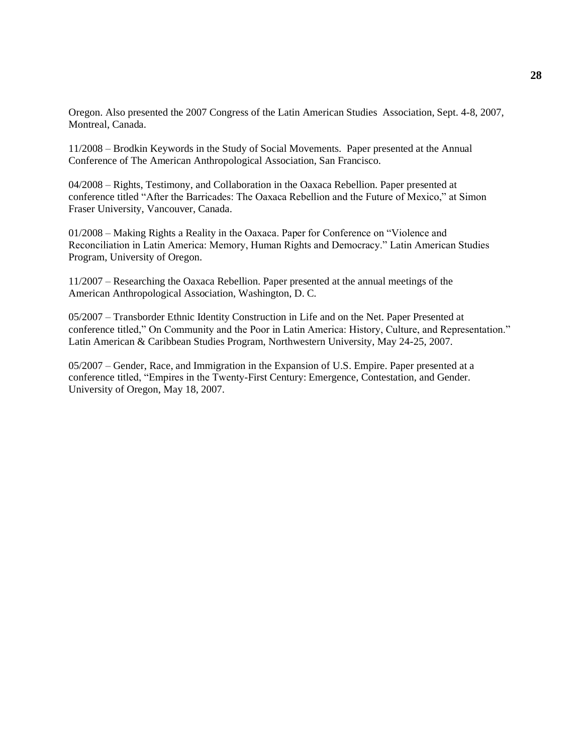Oregon. Also presented the 2007 Congress of the Latin American Studies Association, Sept. 4-8, 2007, Montreal, Canada.

11/2008 – Brodkin Keywords in the Study of Social Movements. Paper presented at the Annual Conference of The American Anthropological Association, San Francisco.

04/2008 – Rights, Testimony, and Collaboration in the Oaxaca Rebellion. Paper presented at conference titled "After the Barricades: The Oaxaca Rebellion and the Future of Mexico," at Simon Fraser University, Vancouver, Canada.

01/2008 – Making Rights a Reality in the Oaxaca. Paper for Conference on "Violence and Reconciliation in Latin America: Memory, Human Rights and Democracy." Latin American Studies Program, University of Oregon.

11/2007 – Researching the Oaxaca Rebellion. Paper presented at the annual meetings of the American Anthropological Association, Washington, D. C.

05/2007 – Transborder Ethnic Identity Construction in Life and on the Net. Paper Presented at conference titled," On Community and the Poor in Latin America: History, Culture, and Representation." Latin American & Caribbean Studies Program, Northwestern University, May 24-25, 2007.

05/2007 – Gender, Race, and Immigration in the Expansion of U.S. Empire. Paper presented at a conference titled, "Empires in the Twenty-First Century: Emergence, Contestation, and Gender. University of Oregon, May 18, 2007.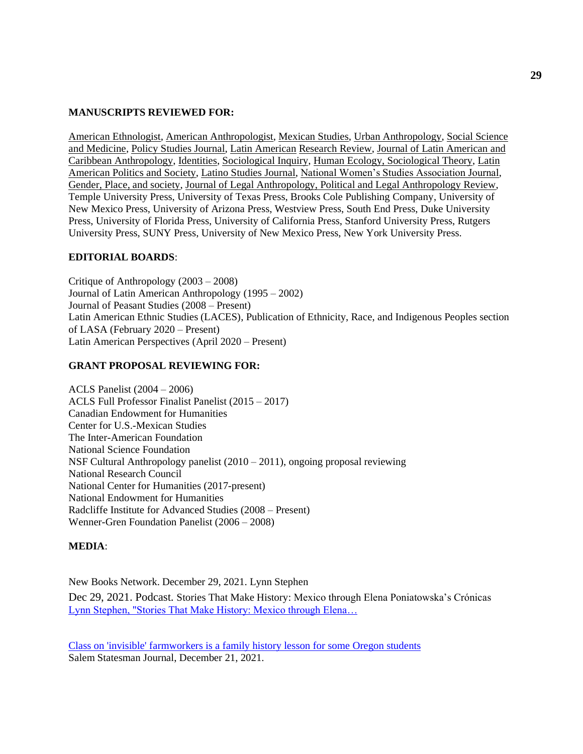#### **MANUSCRIPTS REVIEWED FOR:**

American Ethnologist, American Anthropologist, Mexican Studies, Urban Anthropology, Social Science and Medicine, Policy Studies Journal, Latin American Research Review, Journal of Latin American and Caribbean Anthropology, Identities, Sociological Inquiry, Human Ecology, Sociological Theory, Latin American Politics and Society, Latino Studies Journal, National Women's Studies Association Journal, Gender, Place, and society, Journal of Legal Anthropology, Political and Legal Anthropology Review, Temple University Press, University of Texas Press, Brooks Cole Publishing Company, University of New Mexico Press, University of Arizona Press, Westview Press, South End Press, Duke University Press, University of Florida Press, University of California Press, Stanford University Press, Rutgers University Press, SUNY Press, University of New Mexico Press, New York University Press.

#### **EDITORIAL BOARDS**:

Critique of Anthropology (2003 – 2008) Journal of Latin American Anthropology (1995 – 2002) Journal of Peasant Studies (2008 – Present) Latin American Ethnic Studies (LACES), Publication of Ethnicity, Race, and Indigenous Peoples section of LASA (February 2020 – Present) Latin American Perspectives (April 2020 – Present)

#### **GRANT PROPOSAL REVIEWING FOR:**

ACLS Panelist (2004 – 2006) ACLS Full Professor Finalist Panelist (2015 – 2017) Canadian Endowment for Humanities Center for U.S.-Mexican Studies The Inter-American Foundation National Science Foundation NSF Cultural Anthropology panelist (2010 – 2011), ongoing proposal reviewing National Research Council National Center for Humanities (2017-present) National Endowment for Humanities Radcliffe Institute for Advanced Studies (2008 – Present) Wenner-Gren Foundation Panelist (2006 – 2008)

#### **MEDIA**:

New Books Network. December 29, 2021. Lynn Stephen

Dec 29, 2021. Podcast. Stories That Make History: Mexico through Elena Poniatowska's Crónicas [Lynn Stephen, "Stories That Make History: Mexico through Elena…](https://urldefense.com/v3/__https:/newbooksnetwork.com/stories-that-make-history__;!!C5qS4YX3!TE4gHFC0zLs1JSFCuhSt4HTZdI-isrqyg5QZq72XnI9yjaLGPtToLxYCLawZAuvuTA$)

[Class on 'invisible' farmworkers is a family history lesson for some Oregon students](https://www.statesmanjournal.com/story/news/2021/12/22/university-of-oregon-class-offers-often-latino-farmworkers-history/8920764002/) Salem Statesman Journal, December 21, 2021.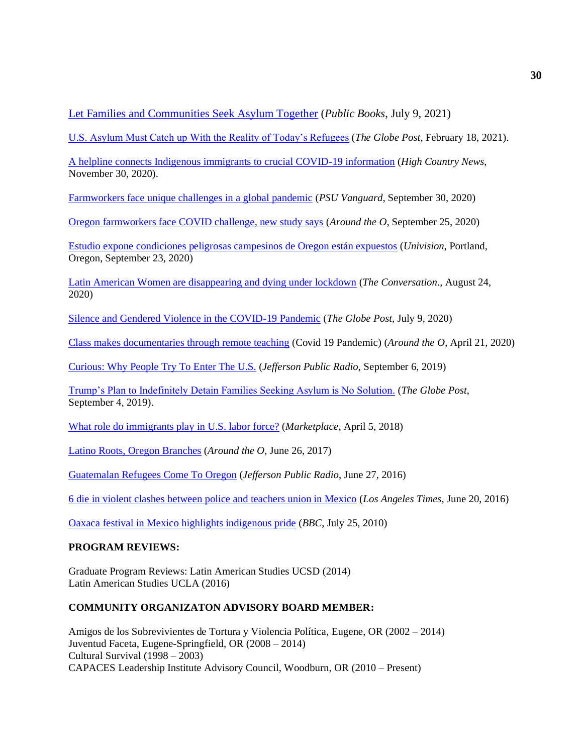[Let Families and Communities Seek Asylum Together](https://www.publicbooks.org/let-families-and-communities-seek-asylum-together/) (*Public Books*, July 9, 2021)

[U.S. Asylum Must Catch up With the Reality of Today's Refugees](https://theglobepost.com/2021/02/18/us-asylum-laws-catch-up/) (*The Globe Post*, February 18, 2021).

[A helpline connects Indigenous immigrants to crucial COVID-19 information](https://www.hcn.org/issues/52.12/indigenous-affairs-what-works-a-helpline-connects-Indigenous-immigrants-to-crucial-covid-19-information) (*High Country News*, November 30, 2020).

[Farmworkers face unique challenges in a global pandemic](https://psuvanguard.com/farmworkers-face-unique-challenges-in-a-global-pandemic/) (*PSU Vanguard*, September 30, 2020)

[Oregon farmworkers face COVID challenge, new study says](https://around.uoregon.edu/content/oregon-farmworkers-face-covid-challenges-new-study-says) (*Around the O*, September 25, 2020)

[Estudio expone condiciones peligrosas campesinos de Oregon están expuestos](http://kunptv.com/news/local/estudio-expone-condiciones-peligrosas-campesinos-de-oregon-estn-expuestos?fbclid=IwAR3-K_6krls19hC1hymCAZVNtStDneayNM0zPglGoyLkk6aooFG3cBj7LVo) (*Univision*, Portland, Oregon, September 23, 2020)

[Latin American Women are disappearing and dying under lockdown](https://theconversation.com/latin-american-women-are-disappearing-and-dying-under-lockdown-143791) (*The Conversation*., August 24, 2020)

[Silence and Gendered Violence in the COVID-19 Pandemic](https://theglobepost.com/2020/07/09/coronavirus-gendered-violence/) (*The Globe Post*, July 9, 2020)

[Class makes documentaries through remote teaching](https://around.uoregon.edu/content/class-makes-documentaries-through-remote-teaching) (Covid 19 Pandemic) (*Around the O*, April 21, 2020)

[Curious: Why People Try To Enter The U.S.](https://www.ijpr.org/post/curious-why-people-try-enter-us#stream/0) (*Jefferson Public Radio*, September 6, 2019)

[Trump's Plan to Indefinitely Detain Families Seeking Asylum is No Solution.](https://theglobepost.com/2019/09/04/us-migrant-family-detention/) (*The Globe Post*, September 4, 2019).

[What role do immigrants play in U.S. labor force?](https://www.marketplace.org/2018/04/05/economy/what-role-immigrants-labor-force) (*Marketplace*, April 5, 2018)

[Latino Roots, Oregon Branches](https://around.uoregon.edu/latino-roots) (*Around the O*, June 26, 2017)

[Guatemalan Refugees Come To Oregon](http://ijpr.org/post/guatemalan-refugees-come-oregon#stream/0) (*Jefferson Public Radio*, June 27, 2016)

[6 die in violent clashes between police and teachers union in Mexico](http://www.latimes.com/world/la-fg-mexico-teachers-union-clashes-20160620-snap-story.html) (*Los Angeles Times*, June 20, 2016)

[Oaxaca festival in Mexico highlights indigenous pride](http://www.bbc.com/news/world-latin-america-10725066) (*BBC*, July 25, 2010)

#### **PROGRAM REVIEWS:**

Graduate Program Reviews: Latin American Studies UCSD (2014) Latin American Studies UCLA (2016)

## **COMMUNITY ORGANIZATON ADVISORY BOARD MEMBER:**

Amigos de los Sobrevivientes de Tortura y Violencia Política, Eugene, OR (2002 – 2014) Juventud Faceta, Eugene-Springfield, OR (2008 – 2014) Cultural Survival (1998 – 2003) CAPACES Leadership Institute Advisory Council, Woodburn, OR (2010 – Present)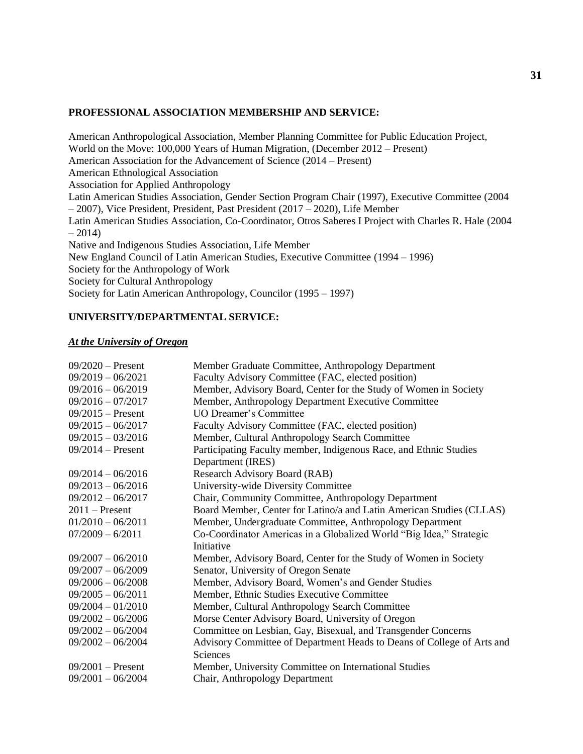#### **PROFESSIONAL ASSOCIATION MEMBERSHIP AND SERVICE:**

American Anthropological Association, Member Planning Committee for Public Education Project, World on the Move: 100,000 Years of Human Migration, (December 2012 – Present) American Association for the Advancement of Science (2014 – Present) American Ethnological Association Association for Applied Anthropology Latin American Studies Association, Gender Section Program Chair (1997), Executive Committee (2004 – 2007), Vice President, President, Past President (2017 – 2020), Life Member Latin American Studies Association, Co-Coordinator, Otros Saberes I Project with Charles R. Hale (2004  $-2014$ Native and Indigenous Studies Association, Life Member New England Council of Latin American Studies, Executive Committee (1994 – 1996) Society for the Anthropology of Work Society for Cultural Anthropology Society for Latin American Anthropology, Councilor (1995 – 1997)

## **UNIVERSITY/DEPARTMENTAL SERVICE:**

#### *At the University of Oregon*

| $09/2020$ – Present | Member Graduate Committee, Anthropology Department                     |
|---------------------|------------------------------------------------------------------------|
| $09/2019 - 06/2021$ | Faculty Advisory Committee (FAC, elected position)                     |
| $09/2016 - 06/2019$ | Member, Advisory Board, Center for the Study of Women in Society       |
| $09/2016 - 07/2017$ | Member, Anthropology Department Executive Committee                    |
| $09/2015$ – Present | UO Dreamer's Committee                                                 |
| $09/2015 - 06/2017$ | Faculty Advisory Committee (FAC, elected position)                     |
| $09/2015 - 03/2016$ | Member, Cultural Anthropology Search Committee                         |
| $09/2014 -$ Present | Participating Faculty member, Indigenous Race, and Ethnic Studies      |
|                     | Department (IRES)                                                      |
| $09/2014 - 06/2016$ | Research Advisory Board (RAB)                                          |
| $09/2013 - 06/2016$ | University-wide Diversity Committee                                    |
| $09/2012 - 06/2017$ | Chair, Community Committee, Anthropology Department                    |
| $2011$ – Present    | Board Member, Center for Latino/a and Latin American Studies (CLLAS)   |
| $01/2010 - 06/2011$ | Member, Undergraduate Committee, Anthropology Department               |
| $07/2009 - 6/2011$  | Co-Coordinator Americas in a Globalized World "Big Idea," Strategic    |
|                     | Initiative                                                             |
| $09/2007 - 06/2010$ | Member, Advisory Board, Center for the Study of Women in Society       |
| $09/2007 - 06/2009$ | Senator, University of Oregon Senate                                   |
| $09/2006 - 06/2008$ | Member, Advisory Board, Women's and Gender Studies                     |
| $09/2005 - 06/2011$ | Member, Ethnic Studies Executive Committee                             |
| $09/2004 - 01/2010$ | Member, Cultural Anthropology Search Committee                         |
| $09/2002 - 06/2006$ | Morse Center Advisory Board, University of Oregon                      |
| $09/2002 - 06/2004$ | Committee on Lesbian, Gay, Bisexual, and Transgender Concerns          |
| $09/2002 - 06/2004$ | Advisory Committee of Department Heads to Deans of College of Arts and |
|                     | Sciences                                                               |
| $09/2001$ – Present | Member, University Committee on International Studies                  |
| $09/2001 - 06/2004$ | Chair, Anthropology Department                                         |